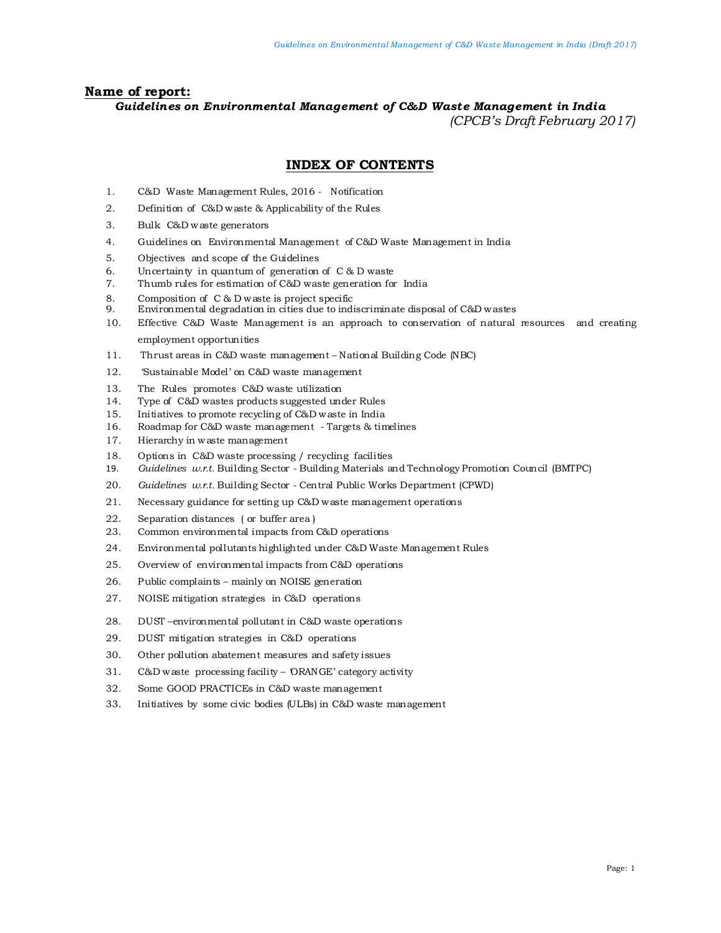#### **Name of report:**

#### *Guidelines on Environmental Management of C&D Waste Management in India (CPCB's Draft February 2017)*

#### **INDEX OF CONTENTS**

- 1. C&D Waste Management Rules, 2016 Notification
- 2. Definition of C&D waste & Applicability of the Rules
- 3. Bulk C&D waste generators
- 4. Guidelines on Environmental Management of C&D Waste Management in India
- 5. Objectives and scope of the Guidelines
- 6. Uncertainty in quantum of generation of C & D waste
- 7. Thumb rules for estimation of C&D waste generation for India
- 8. Composition of C & D waste is project specific<br>9. Environmental degradation in cities due to indi-
- Environmental degradation in cities due to indiscriminate disposal of C&D wastes
- 10. Effective C&D Waste Management is an approach to conservation of natural resources and creating employment opportunities
- 11. Thrust areas in C&D waste management National Building Code (NBC)
- 12. 'Sustainable Model' on C&D waste management
- 13. The Rules promotes C&D waste utilization
- 14. Type of C&D wastes products suggested under Rules
- 15. Initiatives to promote recycling of C&D waste in India
- 16. Roadmap for C&D waste management Targets & timelines
- 17. Hierarchy in waste management
- 18. Options in C&D waste processing / recycling facilities
- 19. *Guidelines w.r.t.* Building Sector Building Materials and Technology Promotion Council (BMTPC)
- 20. *Guidelines w.r.t.* Building Sector Central Public Works Department (CPWD)
- 21. Necessary guidance for setting up C&D waste management operations
- 22. Separation distances ( or buffer area )
- 23. Common environmental impacts from C&D operations
- 24. Environmental pollutants highlighted under C&D Waste Management Rules
- 25. Overview of environmental impacts from C&D operations
- 26. Public complaints mainly on NOISE generation
- 27. NOISE mitigation strategies in C&D operations
- 28. DUST –environmental pollutant in C&D waste operations
- 29. DUST mitigation strategies in C&D operations
- 30. Other pollution abatement measures and safety issues
- 31. C&D waste processing facility ORANGE' category activity
- 32. Some GOOD PRACTICEs in C&D waste management
- 33. Initiatives by some civic bodies (ULBs) in C&D waste management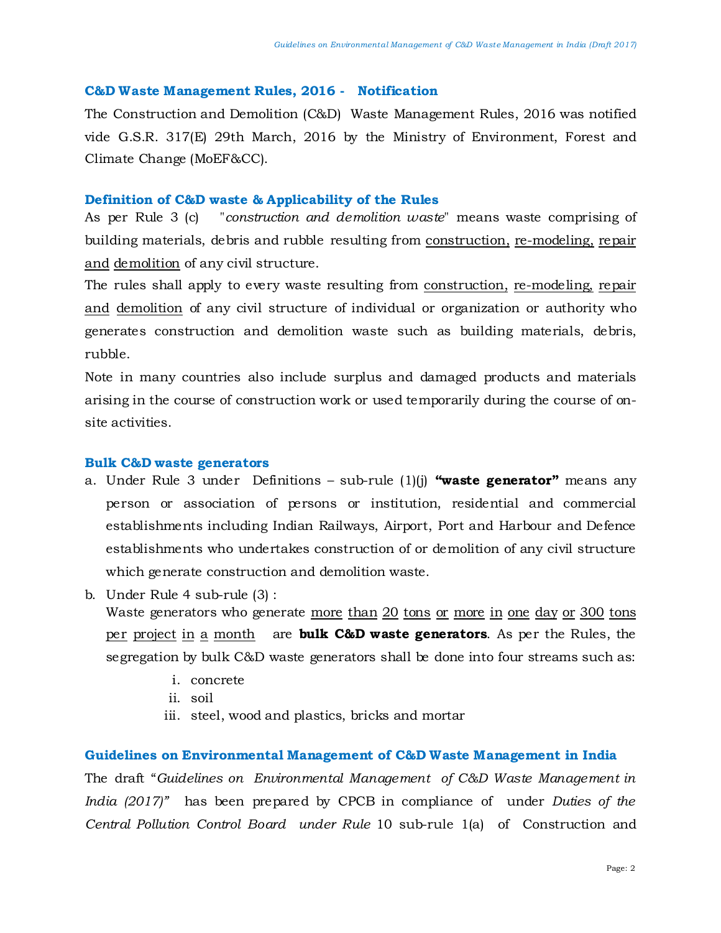#### **C&D Waste Management Rules, 2016 - Notification**

The Construction and Demolition (C&D) Waste Management Rules, 2016 was notified vide G.S.R. 317(E) 29th March, 2016 by the Ministry of Environment, Forest and Climate Change (MoEF&CC).

#### **Definition of C&D waste & Applicability of the Rules**

As per Rule 3 (c) "*construction and demolition waste*" means waste comprising of building materials, debris and rubble resulting from construction, re-modeling, repair and demolition of any civil structure.

The rules shall apply to every waste resulting from construction, re-modeling, repair and demolition of any civil structure of individual or organization or authority who generates construction and demolition waste such as building materials, debris, rubble.

Note in many countries also include surplus and damaged products and materials arising in the course of construction work or used temporarily during the course of onsite activities.

#### **Bulk C&D waste generators**

- a. Under Rule 3 under Definitions sub-rule (1)(j) **"waste generator"** means any person or association of persons or institution, residential and commercial establishments including Indian Railways, Airport, Port and Harbour and Defence establishments who undertakes construction of or demolition of any civil structure which generate construction and demolition waste.
- b. Under Rule 4 sub-rule (3) :

Waste generators who generate more than 20 tons or more in one day or 300 tons per project in a month are **bulk C&D waste generators**. As per the Rules, the segregation by bulk C&D waste generators shall be done into four streams such as:

- i. concrete
- ii. soil
- iii. steel, wood and plastics, bricks and mortar

#### **Guidelines on Environmental Management of C&D Waste Management in India**

The draft "*Guidelines on Environmental Management of C&D Waste Management in India (2017)"* has been prepared by CPCB in compliance of under *Duties of the Central Pollution Control Board under Rule* 10 sub-rule 1(a) of Construction and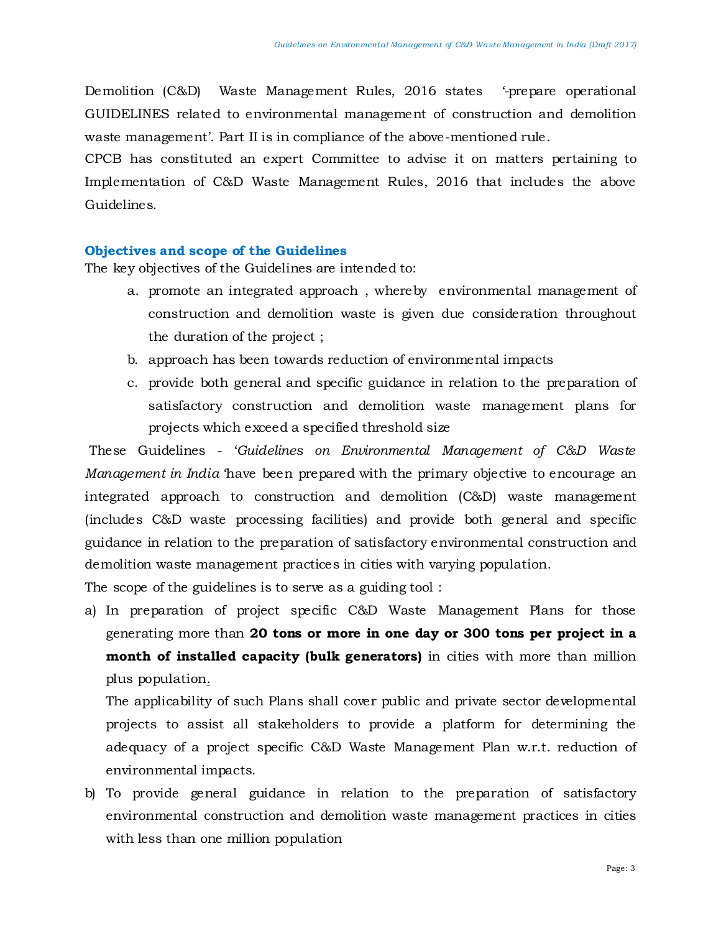Demolition (C&D) Waste Management Rules, 2016 states *'-*prepare operational GUIDELINES related to environmental management of construction and demolition waste management'. Part II is in compliance of the above-mentioned rule.

CPCB has constituted an expert Committee to advise it on matters pertaining to Implementation of C&D Waste Management Rules, 2016 that includes the above Guidelines.

#### **Objectives and scope of the Guidelines**

The key objectives of the Guidelines are intended to:

- a. promote an integrated approach , whereby environmental management of construction and demolition waste is given due consideration throughout the duration of the project ;
- b. approach has been towards reduction of environmental impacts
- c. provide both general and specific guidance in relation to the preparation of satisfactory construction and demolition waste management plans for projects which exceed a specified threshold size

These Guidelines - '*Guidelines on Environmental Management of C&D Waste Management in India* 'have been prepared with the primary objective to encourage an integrated approach to construction and demolition (C&D) waste management (includes C&D waste processing facilities) and provide both general and specific guidance in relation to the preparation of satisfactory environmental construction and demolition waste management practices in cities with varying population.

The scope of the guidelines is to serve as a guiding tool :

a) In preparation of project specific C&D Waste Management Plans for those generating more than **20 tons or more in one day or 300 tons per project in a month of installed capacity (bulk generators)** in cities with more than million plus population.

The applicability of such Plans shall cover public and private sector developmental projects to assist all stakeholders to provide a platform for determining the adequacy of a project specific C&D Waste Management Plan w.r.t. reduction of environmental impacts.

b) To provide general guidance in relation to the preparation of satisfactory environmental construction and demolition waste management practices in cities with less than one million population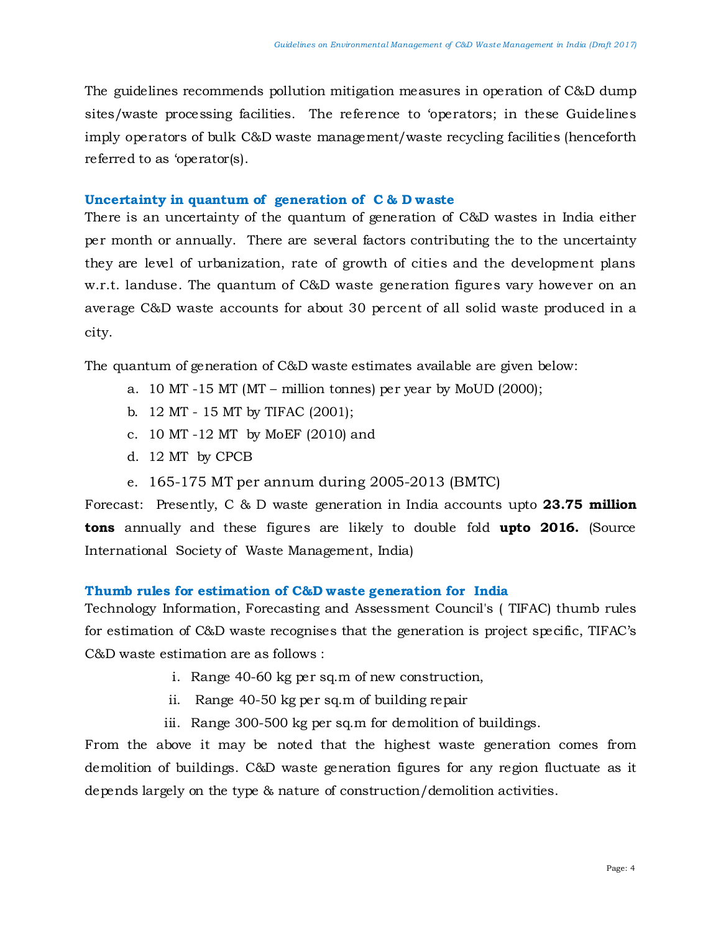The guidelines recommends pollution mitigation measures in operation of C&D dump sites/waste processing facilities. The reference to 'operators; in these Guidelines imply operators of bulk C&D waste management/waste recycling facilities (henceforth referred to as 'operator(s).

#### **Uncertainty in quantum of generation of C & D waste**

There is an uncertainty of the quantum of generation of C&D wastes in India either per month or annually. There are several factors contributing the to the uncertainty they are level of urbanization, rate of growth of cities and the development plans w.r.t. landuse. The quantum of C&D waste generation figures vary however on an average C&D waste accounts for about 30 percent of all solid waste produced in a city.

The quantum of generation of C&D waste estimates available are given below:

- a. 10 MT -15 MT (MT million tonnes) per year by MoUD (2000);
- b. 12 MT 15 MT by TIFAC (2001);
- c. 10 MT -12 MT by MoEF (2010) and
- d. 12 MT by CPCB
- e. 165-175 MT per annum during 2005-2013 (BMTC)

Forecast: Presently, C & D waste generation in India accounts upto **23.75 million tons** annually and these figures are likely to double fold **upto 2016.** (Source International Society of Waste Management, India)

# **Thumb rules for estimation of C&D waste generation for India**

Technology Information, Forecasting and Assessment Council's ( TIFAC) thumb rules for estimation of C&D waste recognises that the generation is project specific, TIFAC's C&D waste estimation are as follows :

- i. Range 40-60 kg per sq.m of new construction,
- ii. Range 40-50 kg per sq.m of building repair
- iii. Range 300-500 kg per sq.m for demolition of buildings.

From the above it may be noted that the highest waste generation comes from demolition of buildings. C&D waste generation figures for any region fluctuate as it depends largely on the type & nature of construction/demolition activities.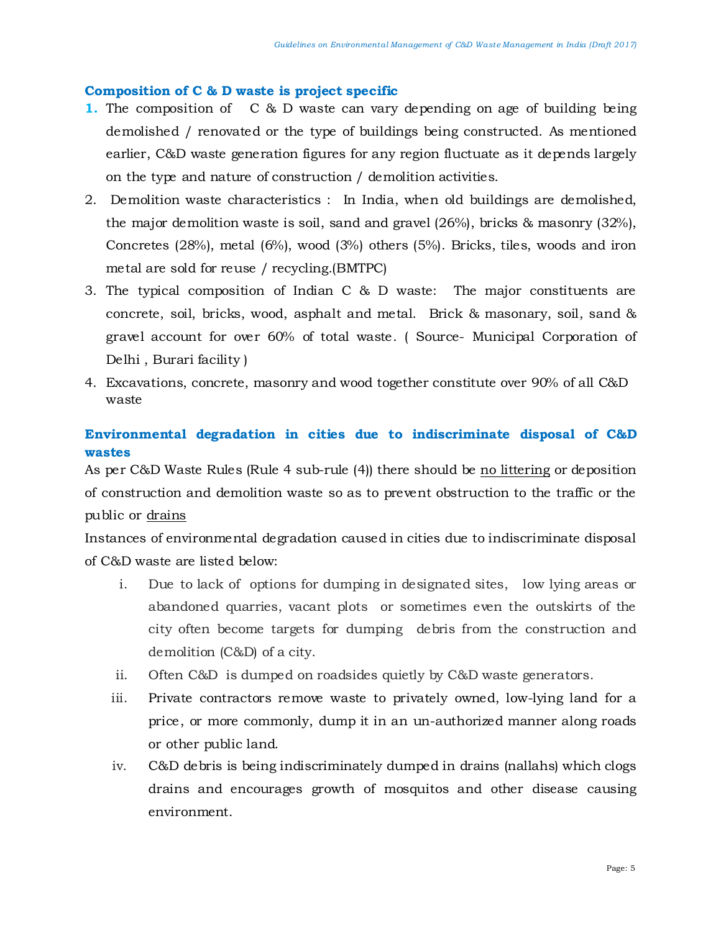## **Composition of C & D waste is project specific**

- **1.** The composition of C & D waste can vary depending on age of building being demolished / renovated or the type of buildings being constructed. As mentioned earlier, C&D waste generation figures for any region fluctuate as it depends largely on the type and nature of construction / demolition activities.
- 2. Demolition waste characteristics : In India, when old buildings are demolished, the major demolition waste is soil, sand and gravel (26%), bricks & masonry (32%), Concretes (28%), metal (6%), wood (3%) others (5%). Bricks, tiles, woods and iron metal are sold for reuse / recycling.(BMTPC)
- 3. The typical composition of Indian C & D waste: The major constituents are concrete, soil, bricks, wood, asphalt and metal. Brick & masonary, soil, sand & gravel account for over 60% of total waste. ( Source- Municipal Corporation of Delhi , Burari facility )
- 4. Excavations, concrete, masonry and wood together constitute over 90% of all C&D waste

# **Environmental degradation in cities due to indiscriminate disposal of C&D wastes**

As per C&D Waste Rules (Rule 4 sub-rule (4)) there should be no littering or deposition of construction and demolition waste so as to prevent obstruction to the traffic or the public or drains

Instances of environmental degradation caused in cities due to indiscriminate disposal of C&D waste are listed below:

- i. Due to lack of options for dumping in designated sites, low lying areas or abandoned quarries, vacant plots or sometimes even the outskirts of the city often become targets for dumping debris from the construction and demolition (C&D) of a city.
- ii. Often C&D is dumped on roadsides quietly by C&D waste generators.
- iii. Private contractors remove waste to privately owned, low-lying land for a price, or more commonly, dump it in an un-authorized manner along roads or other public land.
- iv. C&D debris is being indiscriminately dumped in drains (nallahs) which clogs drains and encourages growth of mosquitos and other disease causing environment.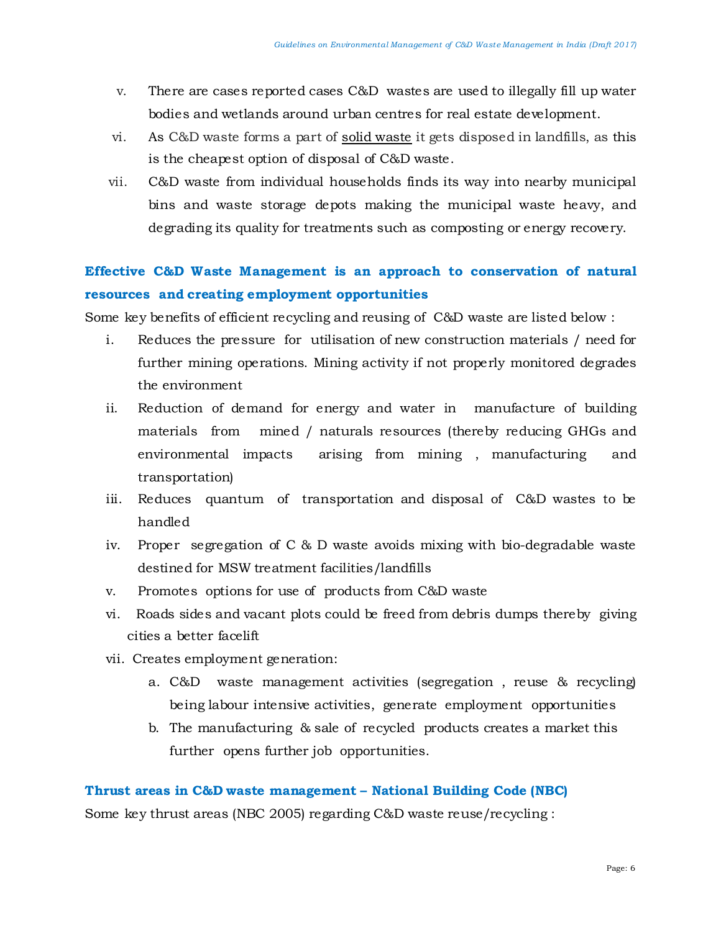- v. There are cases reported cases C&D wastes are used to illegally fill up water bodies and wetlands around urban centres for real estate development.
- vi. As C&D waste forms a part of [solid waste](https://www.commonfloor.com/guide/tag/solid-waste) it gets disposed in landfills, as this is the cheapest option of disposal of C&D waste.
- vii. C&D waste from individual households finds its way into nearby municipal bins and waste storage depots making the municipal waste heavy, and degrading its quality for treatments such as composting or energy recovery.

# **Effective C&D Waste Management is an approach to conservation of natural resources and creating employment opportunities**

Some key benefits of efficient recycling and reusing of C&D waste are listed below :

- i. Reduces the pressure for utilisation of new construction materials / need for further mining operations. Mining activity if not properly monitored degrades the environment
- ii. Reduction of demand for energy and water in manufacture of building materials from mined / naturals resources (thereby reducing GHGs and environmental impacts arising from mining , manufacturing and transportation)
- iii. Reduces quantum of transportation and disposal of C&D wastes to be handled
- iv. Proper segregation of C & D waste avoids mixing with bio-degradable waste destined for MSW treatment facilities/landfills
- v. Promotes options for use of products from C&D waste
- vi. Roads sides and vacant plots could be freed from debris dumps thereby giving cities a better facelift
- vii. Creates employment generation:
	- a. C&D waste management activities (segregation , reuse & recycling) being labour intensive activities, generate employment opportunities
	- b. The manufacturing & sale of recycled products creates a market this further opens further job opportunities.

# **Thrust areas in C&D waste management – National Building Code (NBC)**

Some key thrust areas (NBC 2005) regarding C&D waste reuse/recycling :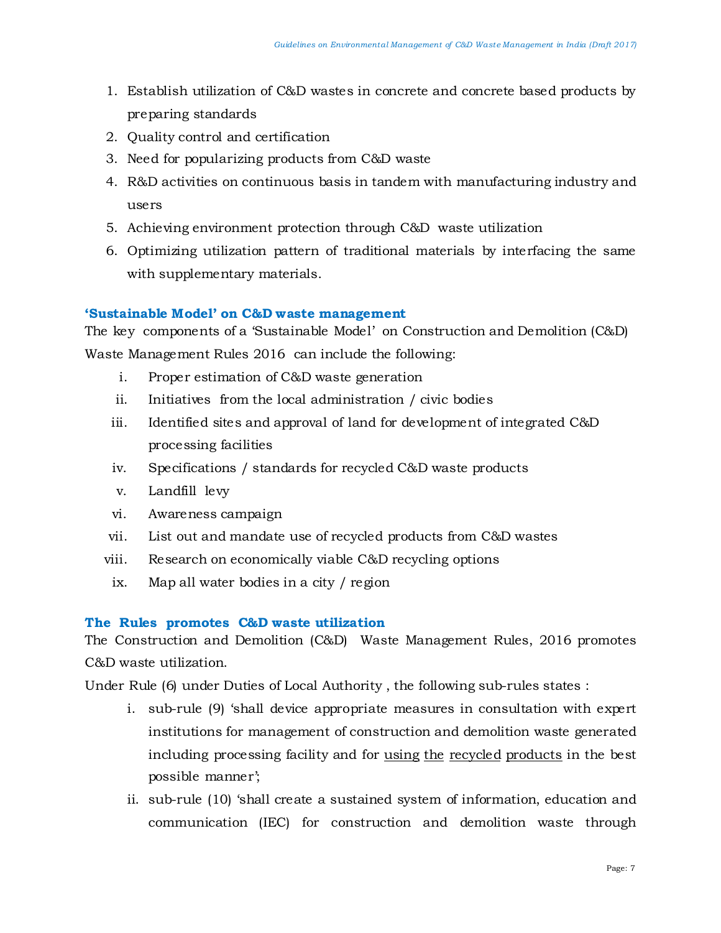- 1. Establish utilization of C&D wastes in concrete and concrete based products by preparing standards
- 2. Quality control and certification
- 3. Need for popularizing products from C&D waste
- 4. R&D activities on continuous basis in tandem with manufacturing industry and users
- 5. Achieving environment protection through C&D waste utilization
- 6. Optimizing utilization pattern of traditional materials by interfacing the same with supplementary materials.

## **'Sustainable Model' on C&D waste management**

The key components of a 'Sustainable Model' on Construction and Demolition (C&D) Waste Management Rules 2016 can include the following:

- i. Proper estimation of C&D waste generation
- ii. Initiatives from the local administration / civic bodies
- iii. Identified sites and approval of land for development of integrated C&D processing facilities
- iv. Specifications / standards for recycled C&D waste products
- v. Landfill levy
- vi. Awareness campaign
- vii. List out and mandate use of recycled products from C&D wastes
- viii. Research on economically viable C&D recycling options
- ix. Map all water bodies in a city / region

#### **The Rules promotes C&D waste utilization**

The Construction and Demolition (C&D) Waste Management Rules, 2016 promotes C&D waste utilization.

Under Rule (6) under Duties of Local Authority , the following sub-rules states :

- i. sub-rule (9) 'shall device appropriate measures in consultation with expert institutions for management of construction and demolition waste generated including processing facility and for using the recycled products in the best possible manner';
- ii. sub-rule (10) 'shall create a sustained system of information, education and communication (IEC) for construction and demolition waste through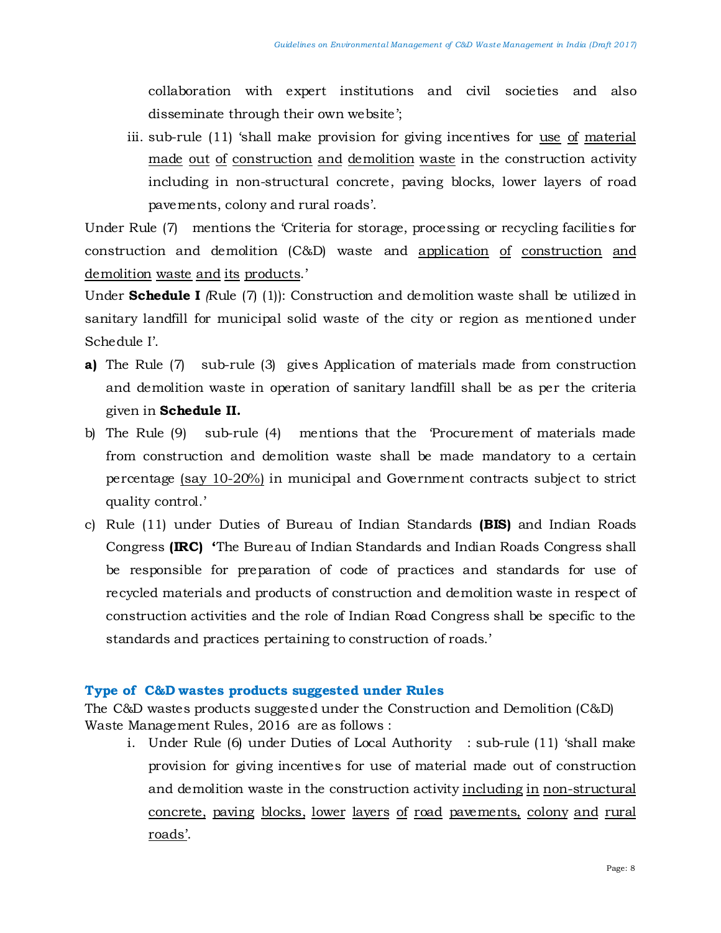collaboration with expert institutions and civil societies and also disseminate through their own website';

iii. sub-rule (11) 'shall make provision for giving incentives for use of material made out of construction and demolition waste in the construction activity including in non-structural concrete, paving blocks, lower layers of road pavements, colony and rural roads'.

Under Rule (7) mentions the 'Criteria for storage, processing or recycling facilities for construction and demolition (C&D) waste and application of construction and demolition waste and its products.'

Under **Schedule I** *(*Rule (7) (1)): Construction and demolition waste shall be utilized in sanitary landfill for municipal solid waste of the city or region as mentioned under Schedule I'.

- **a)** The Rule (7) sub-rule (3) gives Application of materials made from construction and demolition waste in operation of sanitary landfill shall be as per the criteria given in **Schedule II.**
- b) The Rule (9) sub-rule (4) mentions that the 'Procurement of materials made from construction and demolition waste shall be made mandatory to a certain percentage (say 10-20%) in municipal and Government contracts subject to strict quality control.'
- c) Rule (11) under Duties of Bureau of Indian Standards **(BIS)** and Indian Roads Congress **(IRC) '**The Bureau of Indian Standards and Indian Roads Congress shall be responsible for preparation of code of practices and standards for use of recycled materials and products of construction and demolition waste in respect of construction activities and the role of Indian Road Congress shall be specific to the standards and practices pertaining to construction of roads.'

# **Type of C&D wastes products suggested under Rules**

The C&D wastes products suggested under the Construction and Demolition (C&D) Waste Management Rules, 2016 are as follows :

i. Under Rule (6) under Duties of Local Authority : sub-rule (11) 'shall make provision for giving incentives for use of material made out of construction and demolition waste in the construction activity including in non-structural concrete, paving blocks, lower layers of road pavements, colony and rural roads'.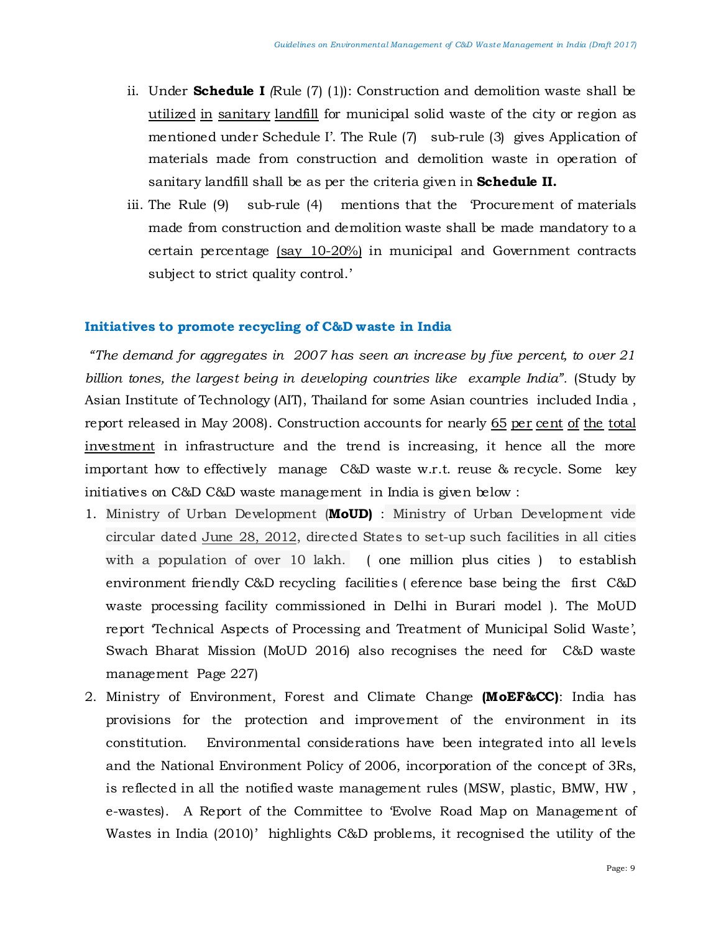- ii. Under **Schedule I** *(*Rule (7) (1)): Construction and demolition waste shall be utilized in sanitary landfill for municipal solid waste of the city or region as mentioned under Schedule I'. The Rule (7) sub-rule (3) gives Application of materials made from construction and demolition waste in operation of sanitary landfill shall be as per the criteria given in **Schedule II.**
- iii. The Rule (9) sub-rule (4) mentions that the 'Procurement of materials made from construction and demolition waste shall be made mandatory to a certain percentage (say 10-20%) in municipal and Government contracts subject to strict quality control.'

#### **Initiatives to promote recycling of C&D waste in India**

*"The demand for aggregates in 2007 has seen an increase by five percent, to over 21 billion tones, the largest being in developing countries like example India".* (Study by Asian Institute of Technology (AIT), Thailand for some Asian countries included India , report released in May 2008). Construction accounts for nearly 65 per cent of the total investment in infrastructure and the trend is increasing, it hence all the more important how to effectively manage C&D waste w.r.t. reuse & recycle. Some key initiatives on C&D C&D waste management in India is given below :

- 1. Ministry of Urban Development (**MoUD)** : Ministry of Urban Development vide circular dated June 28, 2012, directed States to set-up such facilities in all cities with a population of over 10 lakh. ( one million plus cities ) to establish environment friendly C&D recycling facilities ( eference base being the first C&D waste processing facility commissioned in Delhi in Burari model ). The MoUD report 'Technical Aspects of Processing and Treatment of Municipal Solid Waste', Swach Bharat Mission (MoUD 2016) also recognises the need for C&D waste management Page 227)
- 2. Ministry of Environment, Forest and Climate Change **(MoEF&CC)**: India has provisions for the protection and improvement of the environment in its constitution. Environmental considerations have been integrated into all levels and the National Environment Policy of 2006, incorporation of the concept of 3Rs, is reflected in all the notified waste management rules (MSW, plastic, BMW, HW , e-wastes). A Report of the Committee to 'Evolve Road Map on Management of Wastes in India (2010)' highlights C&D problems, it recognised the utility of the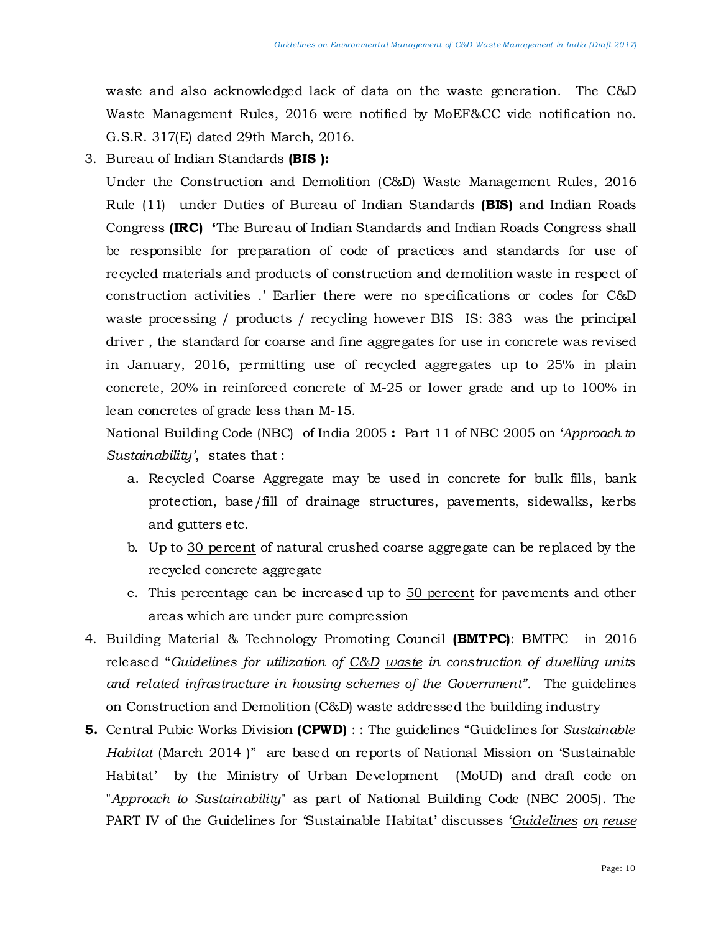waste and also acknowledged lack of data on the waste generation. The C&D Waste Management Rules, 2016 were notified by MoEF&CC vide notification no. G.S.R. 317(E) dated 29th March, 2016.

3. Bureau of Indian Standards **(BIS ):**

Under the Construction and Demolition (C&D) Waste Management Rules, 2016 Rule (11) under Duties of Bureau of Indian Standards **(BIS)** and Indian Roads Congress **(IRC) '**The Bureau of Indian Standards and Indian Roads Congress shall be responsible for preparation of code of practices and standards for use of recycled materials and products of construction and demolition waste in respect of construction activities .' Earlier there were no specifications or codes for C&D waste processing / products / recycling however BIS IS: 383 was the principal driver , the standard for coarse and fine aggregates for use in concrete was revised in January, 2016, permitting use of recycled aggregates up to 25% in plain concrete, 20% in reinforced concrete of M-25 or lower grade and up to 100% in lean concretes of grade less than M-15.

National Building Code (NBC) of India 2005 **:** Part 11 of NBC 2005 on '*Approach to Sustainability'*, states that :

- a. Recycled Coarse Aggregate may be used in concrete for bulk fills, bank protection, base/fill of drainage structures, pavements, sidewalks, kerbs and gutters etc.
- b. Up to 30 percent of natural crushed coarse aggregate can be replaced by the recycled concrete aggregate
- c. This percentage can be increased up to 50 percent for pavements and other areas which are under pure compression
- 4. Building Material & Technology Promoting Council **(BMTPC)**: BMTPC in 2016 released "*Guidelines for utilization of C&D waste in construction of dwelling units and related infrastructure in housing schemes of the Government".* The guidelines on Construction and Demolition (C&D) waste addressed the building industry
- **5.** Central Pubic Works Division **(CPWD)** : : The guidelines "Guidelines for *Sustainable Habitat* (March 2014 )" are based on reports of National Mission on 'Sustainable Habitat' by the Ministry of Urban Development (MoUD) and draft code on "*Approach to Sustainability*" as part of National Building Code (NBC 2005). The PART IV of the Guidelines for 'Sustainable Habitat' discusses '*Guidelines on reuse*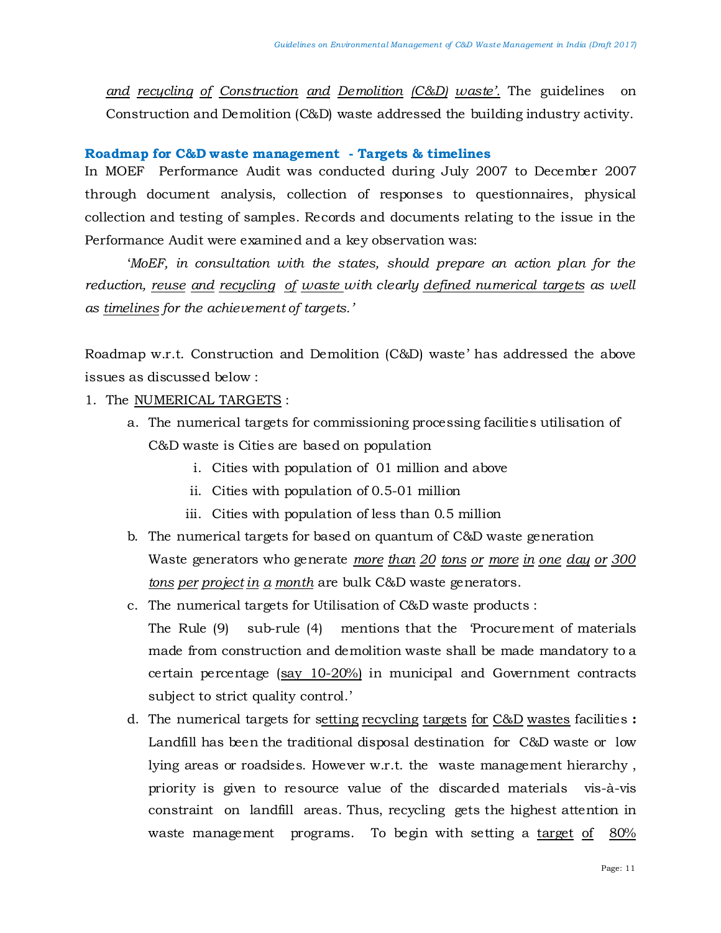*and recycling of Construction and Demolition (C&D) waste'.* The guidelines on Construction and Demolition (C&D) waste addressed the building industry activity.

#### **Roadmap for C&D waste management - Targets & timelines**

In MOEF Performance Audit was conducted during July 2007 to December 2007 through document analysis, collection of responses to questionnaires, physical collection and testing of samples. Records and documents relating to the issue in the Performance Audit were examined and a key observation was:

'*MoEF, in consultation with the states, should prepare an action plan for the reduction, reuse and recycling of waste with clearly defined numerical targets as well as timelines for the achievement of targets.'*

Roadmap w.r.t. Construction and Demolition (C&D) waste' has addressed the above issues as discussed below :

- 1. The NUMERICAL TARGETS :
	- a. The numerical targets for commissioning processing facilities utilisation of C&D waste is Cities are based on population
		- i. Cities with population of 01 million and above
		- ii. Cities with population of 0.5-01 million
		- iii. Cities with population of less than 0.5 million
	- b. The numerical targets for based on quantum of C&D waste generation Waste generators who generate *more than 20 tons or more in one day or 300 tons per project in a month* are bulk C&D waste generators.
	- c. The numerical targets for Utilisation of C&D waste products : The Rule (9) sub-rule (4) mentions that the 'Procurement of materials made from construction and demolition waste shall be made mandatory to a certain percentage (say 10-20%) in municipal and Government contracts subject to strict quality control.'
	- d. The numerical targets for setting recycling targets for C&D wastes facilities **:**  Landfill has been the traditional disposal destination for C&D waste or low lying areas or roadsides. However w.r.t. the waste management hierarchy , priority is given to resource value of the discarded materials vis-à-vis constraint on landfill areas. Thus, recycling gets the highest attention in waste management programs. To begin with setting a target of 80%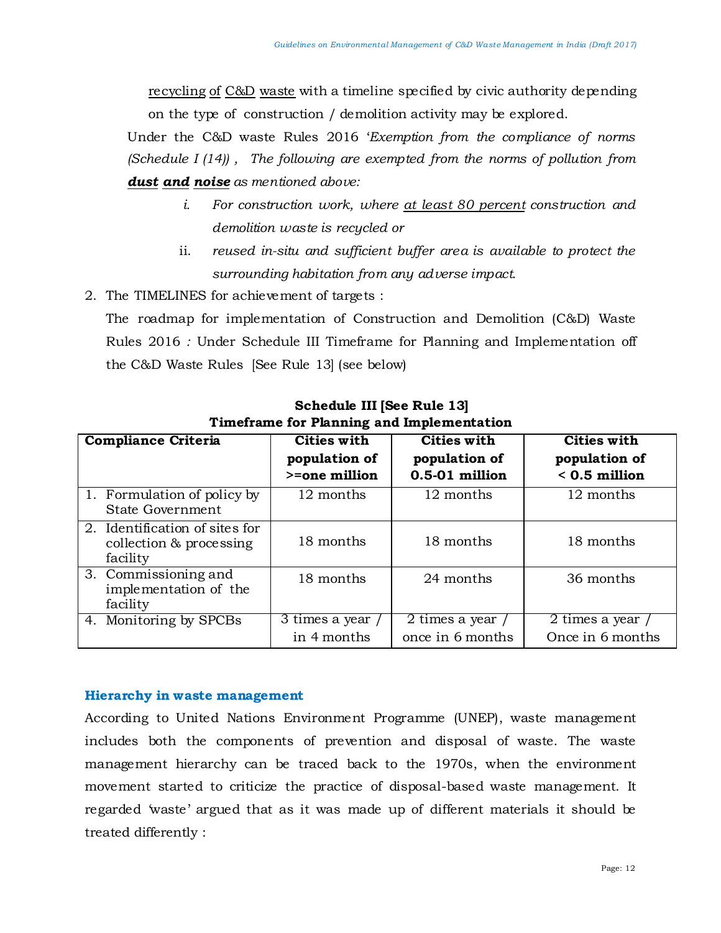recycling of C&D waste with a timeline specified by civic authority depending on the type of construction / demolition activity may be explored.

Under the C&D waste Rules 2016 '*Exemption from the compliance of norms (Schedule I (14)) , The following are exempted from the norms of pollution from dust and noise as mentioned above:* 

- *i. For construction work, where at least 80 percent construction and demolition waste is recycled or*
- ii. *reused in-situ and sufficient buffer area is available to protect the surrounding habitation from any adverse impact.*
- 2. The TIMELINES for achievement of targets :

The roadmap for implementation of Construction and Demolition (C&D) Waste Rules 2016 *:* Under Schedule III Timeframe for Planning and Implementation off the C&D Waste Rules [See Rule 13] (see below)

| <b>Compliance Criteria</b>                                            | <b>Cities with</b><br>population of<br>>=one million | <b>Cities with</b><br>population of<br>0.5-01 million | Cities with<br>population of<br>$< 0.5$ million |
|-----------------------------------------------------------------------|------------------------------------------------------|-------------------------------------------------------|-------------------------------------------------|
| 1. Formulation of policy by<br>State Government                       | 12 months                                            | 12 months                                             | 12 months                                       |
| 2. Identification of sites for<br>collection & processing<br>facility | 18 months                                            | 18 months                                             | 18 months                                       |
| 3. Commissioning and<br>implementation of the<br>facility             | 18 months                                            | 24 months                                             | 36 months                                       |
| 4. Monitoring by SPCBs                                                | 3 times a year                                       | 2 times a year                                        | 2 times a year                                  |
|                                                                       | in 4 months                                          | once in 6 months                                      | Once in 6 months                                |

**Schedule III [See Rule 13] Timeframe for Planning and Implementation**

# **Hierarchy in waste management**

According to United Nations Environment Programme (UNEP), waste management includes both the components of prevention and disposal of waste. The waste management hierarchy can be traced back to the 1970s, when the environment movement started to criticize the practice of disposal-based waste management. It regarded 'waste' argued that as it was made up of different materials it should be treated differently :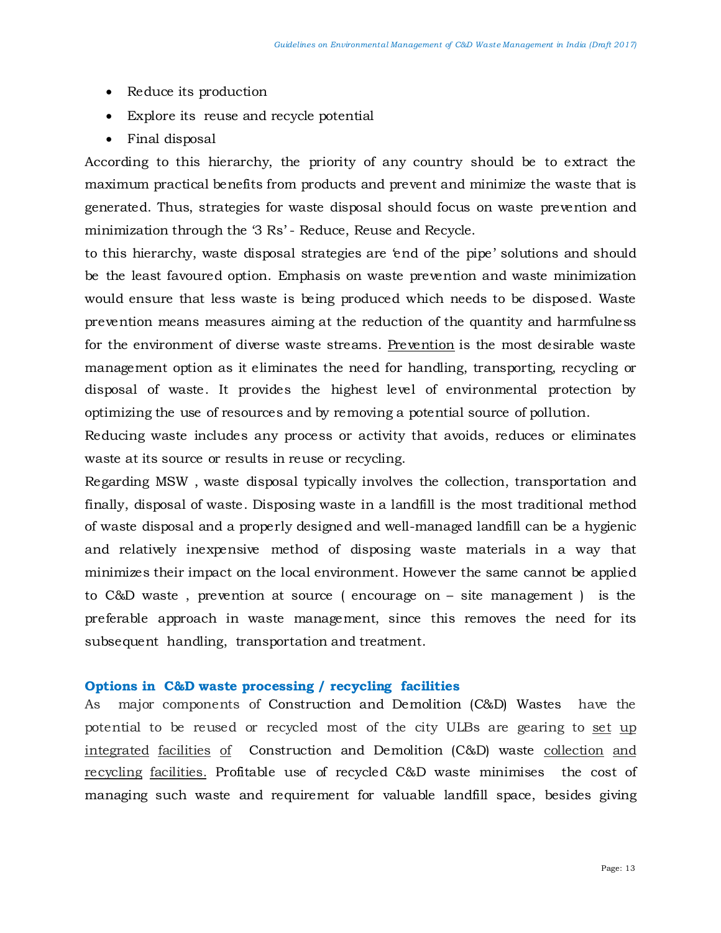- Reduce its production
- Explore its reuse and recycle potential
- Final disposal

According to this hierarchy, the priority of any country should be to extract the maximum practical benefits from products and prevent and minimize the waste that is generated. Thus, strategies for waste disposal should focus on waste prevention and minimization through the '3 Rs' - Reduce, Reuse and Recycle.

to this hierarchy, waste disposal strategies are 'end of the pipe' solutions and should be the least favoured option. Emphasis on waste prevention and waste minimization would ensure that less waste is being produced which needs to be disposed. Waste prevention means measures aiming at the reduction of the quantity and harmfulness for the environment of diverse waste streams. Prevention is the most desirable waste management option as it eliminates the need for handling, transporting, recycling or disposal of waste. It provides the highest level of environmental protection by optimizing the use of resources and by removing a potential source of pollution.

Reducing waste includes any process or activity that avoids, reduces or eliminates waste at its source or results in reuse or recycling.

Regarding MSW , waste disposal typically involves the collection, transportation and finally, disposal of waste. Disposing waste in a landfill is the most traditional method of waste disposal and a properly designed and well-managed landfill can be a hygienic and relatively inexpensive method of disposing waste materials in a way that minimizes their impact on the local environment. However the same cannot be applied to C&D waste , prevention at source ( encourage on – site management ) is the preferable approach in waste management, since this removes the need for its subsequent handling, transportation and treatment.

#### **Options in C&D waste processing / recycling facilities**

As major components of Construction and Demolition (C&D) Wastes have the potential to be reused or recycled most of the city ULBs are gearing to set up integrated facilities of Construction and Demolition (C&D) waste collection and recycling facilities. Profitable use of recycled C&D waste minimises the cost of managing such waste and requirement for valuable landfill space, besides giving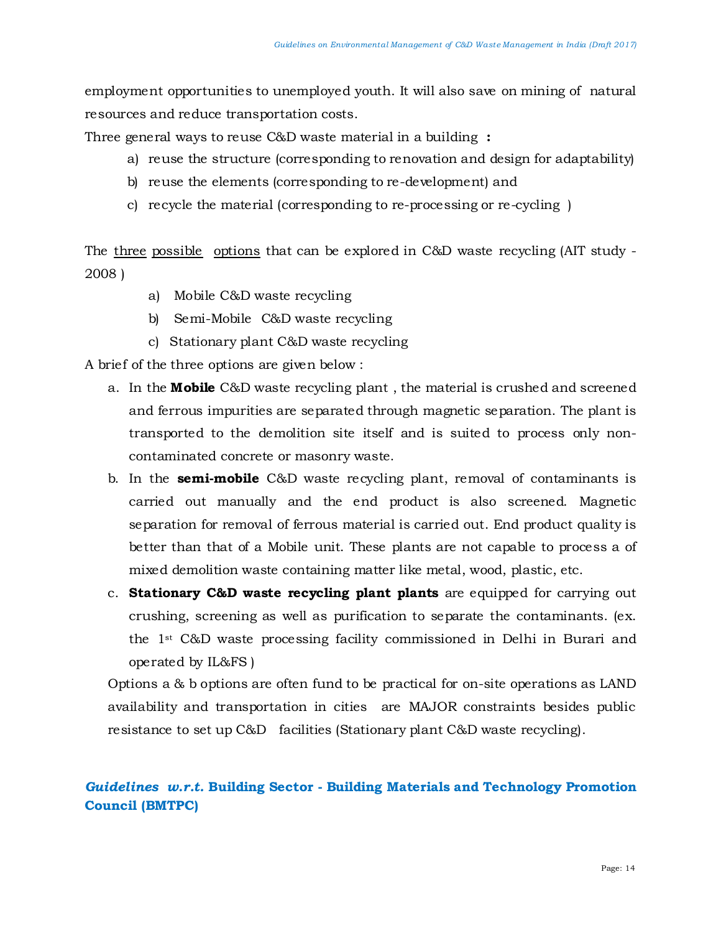employment opportunities to unemployed youth. It will also save on mining of natural resources and reduce transportation costs.

Three general ways to reuse C&D waste material in a building **:**

- a) reuse the structure (corresponding to renovation and design for adaptability)
- b) reuse the elements (corresponding to re-development) and
- c) recycle the material (corresponding to re-processing or re-cycling )

The three possible options that can be explored in C&D waste recycling (AIT study - 2008 )

- a) Mobile C&D waste recycling
- b) Semi-Mobile C&D waste recycling
- c) Stationary plant C&D waste recycling

A brief of the three options are given below :

- a. In the **Mobile** C&D waste recycling plant , the material is crushed and screened and ferrous impurities are separated through magnetic separation. The plant is transported to the demolition site itself and is suited to process only noncontaminated concrete or masonry waste.
- b. In the **semi-mobile** C&D waste recycling plant, removal of contaminants is carried out manually and the end product is also screened. Magnetic separation for removal of ferrous material is carried out. End product quality is better than that of a Mobile unit. These plants are not capable to process a of mixed demolition waste containing matter like metal, wood, plastic, etc.
- c. **Stationary C&D waste recycling plant plants** are equipped for carrying out crushing, screening as well as purification to separate the contaminants. (ex. the 1st C&D waste processing facility commissioned in Delhi in Burari and operated by IL&FS )

Options a & b options are often fund to be practical for on-site operations as LAND availability and transportation in cities are MAJOR constraints besides public resistance to set up C&D facilities (Stationary plant C&D waste recycling).

# *Guidelines w.r.t.* **Building Sector - Building Materials and Technology Promotion Council (BMTPC)**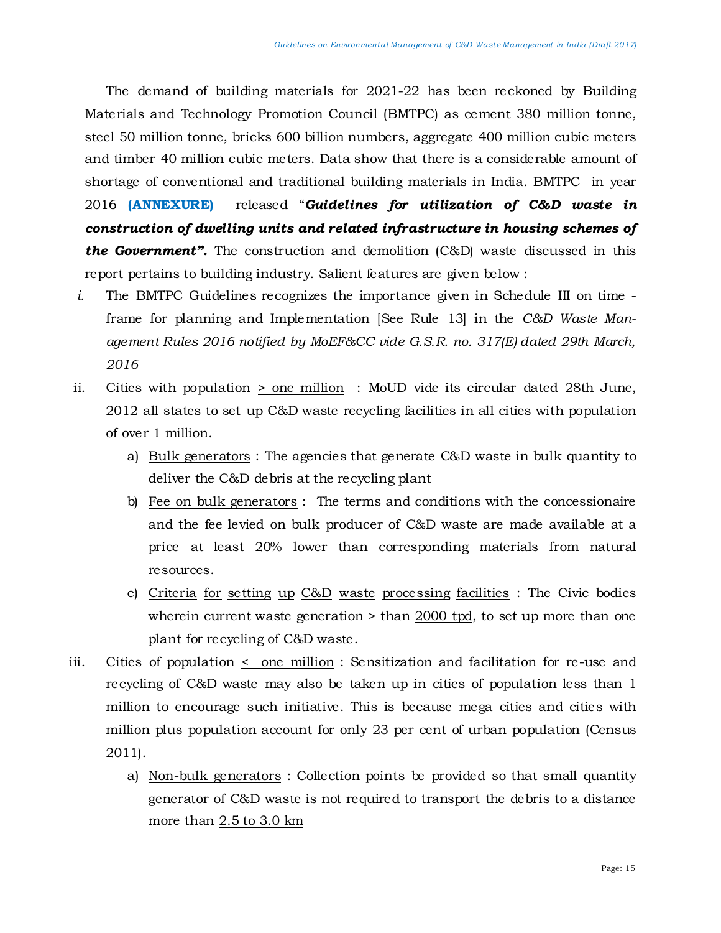The demand of building materials for 2021-22 has been reckoned by Building Materials and Technology Promotion Council (BMTPC) as cement 380 million tonne, steel 50 million tonne, bricks 600 billion numbers, aggregate 400 million cubic meters and timber 40 million cubic meters. Data show that there is a considerable amount of shortage of conventional and traditional building materials in India. BMTPC in year 2016 **(ANNEXURE)** released "*Guidelines for utilization of C&D waste in construction of dwelling units and related infrastructure in housing schemes of the Government".* The construction and demolition (C&D) waste discussed in this report pertains to building industry. Salient features are given below :

- *i.* The BMTPC Guidelines recognizes the importance given in Schedule III on time frame for planning and Implementation [See Rule 13] in the *C&D Waste Management Rules 2016 notified by MoEF&CC vide G.S.R. no. 317(E) dated 29th March, 2016*
- ii. Cities with population > one million : MoUD vide its circular dated 28th June, 2012 all states to set up C&D waste recycling facilities in all cities with population of over 1 million.
	- a) Bulk generators : The agencies that generate C&D waste in bulk quantity to deliver the C&D debris at the recycling plant
	- b) Fee on bulk generators : The terms and conditions with the concessionaire and the fee levied on bulk producer of C&D waste are made available at a price at least 20% lower than corresponding materials from natural resources.
	- c) Criteria for setting up C&D waste processing facilities : The Civic bodies wherein current waste generation > than 2000 tpd, to set up more than one plant for recycling of C&D waste.
- iii. Cities of population < one million : Sensitization and facilitation for re-use and recycling of C&D waste may also be taken up in cities of population less than 1 million to encourage such initiative. This is because mega cities and cities with million plus population account for only 23 per cent of urban population (Census 2011).
	- a) Non-bulk generators : Collection points be provided so that small quantity generator of C&D waste is not required to transport the debris to a distance more than 2.5 to 3.0 km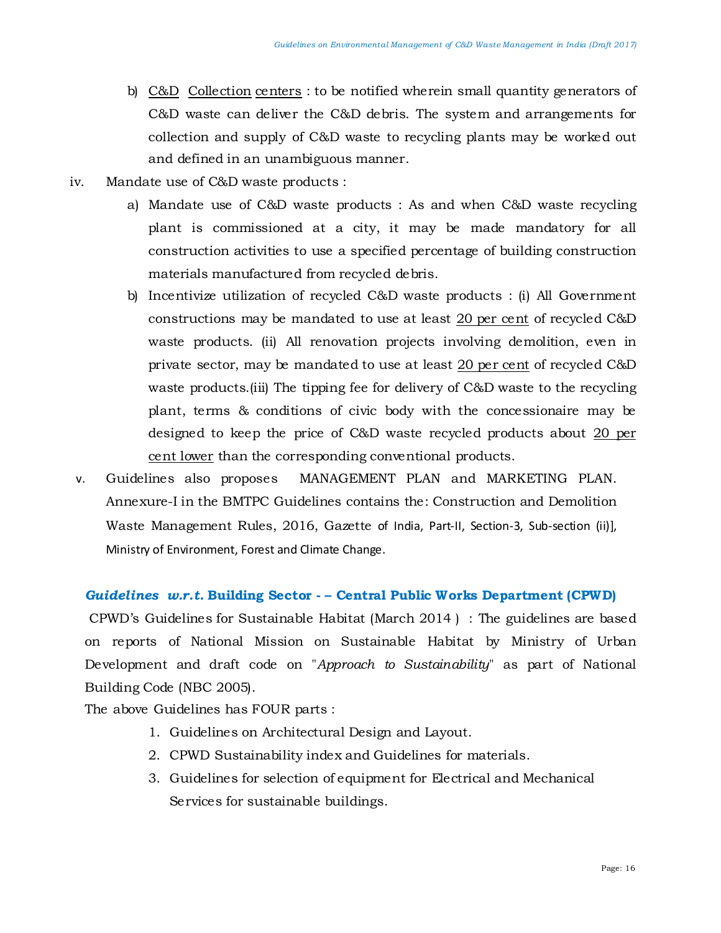- b) C&D Collection centers : to be notified wherein small quantity generators of C&D waste can deliver the C&D debris. The system and arrangements for collection and supply of C&D waste to recycling plants may be worked out and defined in an unambiguous manner.
- iv. Mandate use of C&D waste products :
	- a) Mandate use of C&D waste products : As and when C&D waste recycling plant is commissioned at a city, it may be made mandatory for all construction activities to use a specified percentage of building construction materials manufactured from recycled debris.
	- b) Incentivize utilization of recycled C&D waste products : (i) All Government constructions may be mandated to use at least 20 per cent of recycled C&D waste products. (ii) All renovation projects involving demolition, even in private sector, may be mandated to use at least 20 per cent of recycled C&D waste products.(iii) The tipping fee for delivery of C&D waste to the recycling plant, terms & conditions of civic body with the concessionaire may be designed to keep the price of C&D waste recycled products about 20 per cent lower than the corresponding conventional products.
- v. Guidelines also proposes MANAGEMENT PLAN and MARKETING PLAN. Annexure-I in the BMTPC Guidelines contains the: Construction and Demolition Waste Management Rules, 2016, Gazette of India, Part-II, Section-3, Sub-section (ii)], Ministry of Environment, Forest and Climate Change.

# *Guidelines w.r.t.* **Building Sector - – Central Public Works Department (CPWD)**

CPWD's Guidelines for Sustainable Habitat (March 2014 ) : The guidelines are based on reports of National Mission on Sustainable Habitat by Ministry of Urban Development and draft code on "*Approach to Sustainability*" as part of National Building Code (NBC 2005).

The above Guidelines has FOUR parts :

- 1. Guidelines on Architectural Design and Layout.
- 2. CPWD Sustainability index and Guidelines for materials.
- 3. Guidelines for selection of equipment for Electrical and Mechanical Services for sustainable buildings.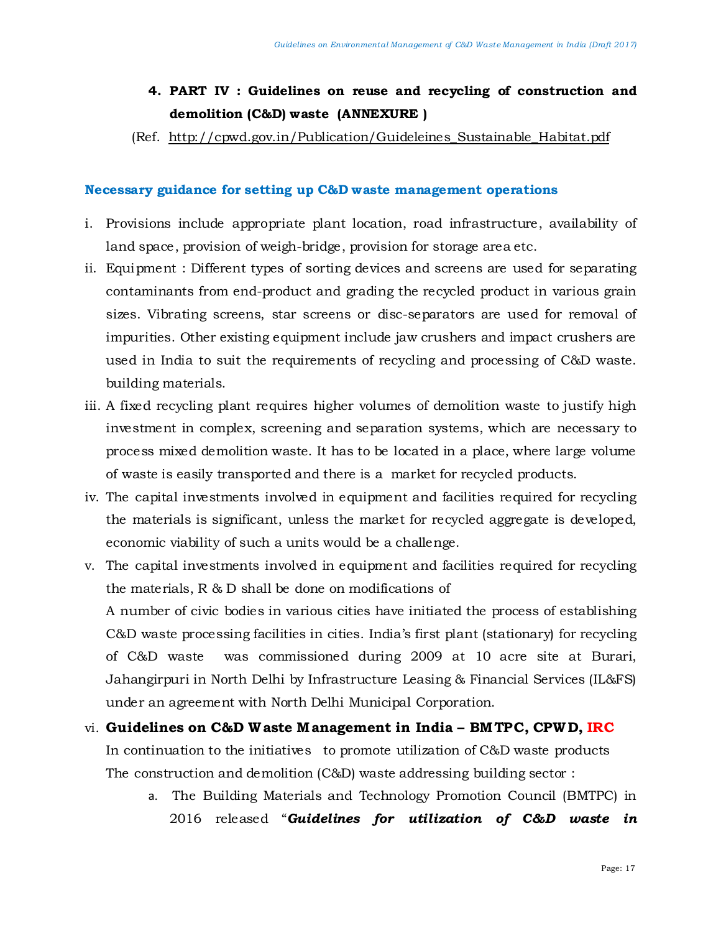# **4. PART IV : Guidelines on reuse and recycling of construction and demolition (C&D) waste (ANNEXURE )**

(Ref. [http://cpwd.gov.in/Publication/Guideleines\\_Sustainable\\_Habitat.pdf](http://cpwd.gov.in/Publication/Guideleines_Sustainable_Habitat.pdf)

# **Necessary guidance for setting up C&D waste management operations**

- i. Provisions include appropriate plant location, road infrastructure, availability of land space, provision of weigh-bridge, provision for storage area etc.
- ii. Equipment : Different types of sorting devices and screens are used for separating contaminants from end-product and grading the recycled product in various grain sizes. Vibrating screens, star screens or disc-separators are used for removal of impurities. Other existing equipment include jaw crushers and impact crushers are used in India to suit the requirements of recycling and processing of C&D waste. building materials.
- iii. A fixed recycling plant requires higher volumes of demolition waste to justify high investment in complex, screening and separation systems, which are necessary to process mixed demolition waste. It has to be located in a place, where large volume of waste is easily transported and there is a market for recycled products.
- iv. The capital investments involved in equipment and facilities required for recycling the materials is significant, unless the market for recycled aggregate is developed, economic viability of such a units would be a challenge.
- v. The capital investments involved in equipment and facilities required for recycling the materials, R & D shall be done on modifications of

A number of civic bodies in various cities have initiated the process of establishing C&D waste processing facilities in cities. India's first plant (stationary) for recycling of C&D waste was commissioned during 2009 at 10 acre site at Burari, Jahangirpuri in North Delhi by Infrastructure Leasing & Financial Services (IL&FS) under an agreement with North Delhi Municipal Corporation.

- vi. **Guidelines on C&D W aste M anagement in India – BM TPC, CPWD, IRC** In continuation to the initiatives to promote utilization of C&D waste products The construction and demolition (C&D) waste addressing building sector :
	- a. The Building Materials and Technology Promotion Council (BMTPC) in 2016 released "*Guidelines for utilization of C&D waste in*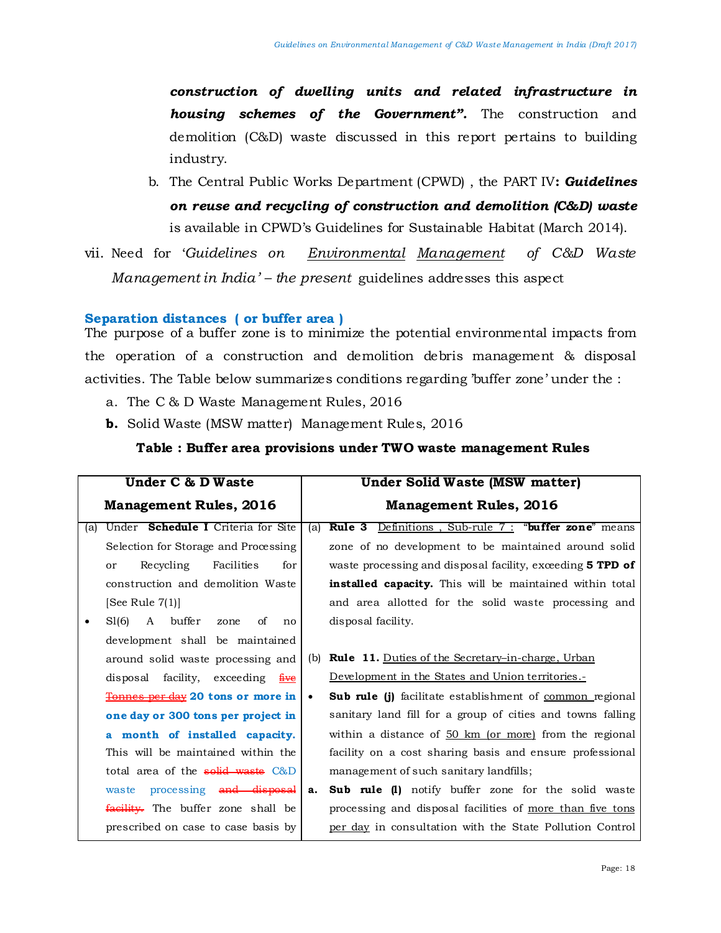*construction of dwelling units and related infrastructure in housing schemes of the Government".* The construction and demolition (C&D) waste discussed in this report pertains to building industry.

b. The Central Public Works Department (CPWD) , the PART IV**:** *Guidelines on reuse and recycling of construction and demolition (C&D) waste* is available in CPWD's Guidelines for Sustainable Habitat (March 2014).

vii. Need for '*Guidelines on Environmental Management of C&D Waste Management in India' – the present* guidelines addresses this aspect

#### **Separation distances ( or buffer area )**

The purpose of a buffer zone is to minimize the potential environmental impacts from the operation of a construction and demolition debris management & disposal activities. The Table below summarizes conditions regarding 'buffer zone' under the :

- a. The C & D Waste Management Rules, 2016
- **b.** Solid Waste (MSW matter) Management Rules, 2016

#### **Table : Buffer area provisions under TWO waste management Rules**

| <b>Under C &amp; D Waste</b> |                                               | <b>Under Solid Waste (MSW matter)</b> |                                                                   |
|------------------------------|-----------------------------------------------|---------------------------------------|-------------------------------------------------------------------|
|                              | <b>Management Rules, 2016</b>                 | <b>Management Rules, 2016</b>         |                                                                   |
| (a)                          | Under <b>Schedule I</b> Criteria for Site     | (a)                                   | <b>Rule 3</b> Definitions, Sub-rule 7: "buffer zone" means        |
|                              | Selection for Storage and Processing          |                                       | zone of no development to be maintained around solid              |
|                              | Recycling<br>Facilities<br>for<br>or          |                                       | waste processing and disposal facility, exceeding <b>5 TPD of</b> |
|                              | construction and demolition Waste             |                                       | <b>installed capacity.</b> This will be maintained within total   |
|                              | [See Rule $7(1)$ ]                            |                                       | and area allotted for the solid waste processing and              |
| ٠                            | buffer<br>SI(6)<br>A<br>of<br>zone<br>no      |                                       | disposal facility.                                                |
|                              | development shall be maintained               |                                       |                                                                   |
|                              | around solid waste processing and             | (b)                                   | <b>Rule 11.</b> Duties of the Secretary–in-charge, Urban          |
|                              | disposal facility, exceeding five             |                                       | Development in the States and Union territories.-                 |
|                              | Tonnes per day 20 tons or more in             | $\bullet$                             | <b>Sub rule (j)</b> facilitate establishment of common regional   |
|                              | one day or 300 tons per project in            |                                       | sanitary land fill for a group of cities and towns falling        |
|                              | a month of installed capacity.                |                                       | within a distance of $50 \text{ km}$ (or more) from the regional  |
|                              | This will be maintained within the            |                                       | facility on a cost sharing basis and ensure professional          |
|                              | total area of the solid waste C&D             |                                       | management of such sanitary landfills;                            |
|                              | processing and disposal<br>waste              | a.                                    | <b>Sub rule (1)</b> notify buffer zone for the solid waste        |
|                              | <del>facility.</del> The buffer zone shall be |                                       | processing and disposal facilities of more than five tons         |
|                              | prescribed on case to case basis by           |                                       | per day in consultation with the State Pollution Control          |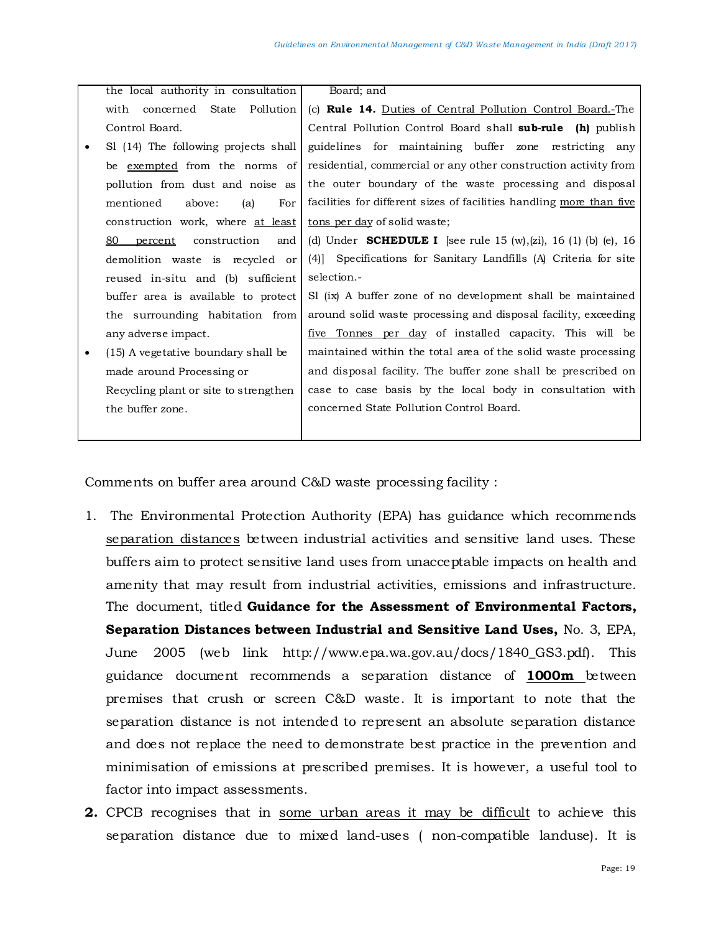|   | the local authority in consultation   | Board; and                                                             |
|---|---------------------------------------|------------------------------------------------------------------------|
|   | concerned State Pollution<br>with     | (c) Rule 14. Duties of Central Pollution Control Board.-The            |
|   | Control Board.                        | Central Pollution Control Board shall sub-rule (h) publish             |
| ٠ | SI (14) The following projects shall  | guidelines for maintaining buffer zone restricting any                 |
|   | be <u>exempted</u> from the norms of  | residential, commercial or any other construction activity from        |
|   | pollution from dust and noise as      | the outer boundary of the waste processing and disposal                |
|   | mentioned<br>For<br>above:<br>(a)     | facilities for different sizes of facilities handling more than five   |
|   | construction work, where at least     | tons per day of solid waste;                                           |
|   | 80<br>percent construction<br>and     | (d) Under <b>SCHEDULE I</b> [see rule 15 (w), (zi), 16 (1) (b) (e), 16 |
|   | demolition waste is recycled or       | (4) Specifications for Sanitary Landfills (A) Criteria for site        |
|   | reused in-situ and (b) sufficient     | selection.-                                                            |
|   | buffer area is available to protect   | SI (ix) A buffer zone of no development shall be maintained            |
|   | the surrounding habitation from       | around solid waste processing and disposal facility, exceeding         |
|   | any adverse impact.                   | <u>five Tonnes per day</u> of installed capacity. This will be         |
| ٠ | (15) A vegetative boundary shall be   | maintained within the total area of the solid waste processing         |
|   | made around Processing or             | and disposal facility. The buffer zone shall be prescribed on          |
|   | Recycling plant or site to strengthen | case to case basis by the local body in consultation with              |
|   | the buffer zone.                      | concerned State Pollution Control Board.                               |
|   |                                       |                                                                        |

Comments on buffer area around C&D waste processing facility :

- 1. The Environmental Protection Authority (EPA) has guidance which recommends separation distances between industrial activities and sensitive land uses. These buffers aim to protect sensitive land uses from unacceptable impacts on health and amenity that may result from industrial activities, emissions and infrastructure. The document, titled **Guidance for the Assessment of Environmental Factors, Separation Distances between Industrial and Sensitive Land Uses,** No. 3, EPA, June 2005 (web link http://www.epa.wa.gov.au/docs/1840\_GS3.pdf). This guidance document recommends a separation distance of **1000m** between premises that crush or screen C&D waste. It is important to note that the separation distance is not intended to represent an absolute separation distance and does not replace the need to demonstrate best practice in the prevention and minimisation of emissions at prescribed premises. It is however, a useful tool to factor into impact assessments.
- **2.** CPCB recognises that in some urban areas it may be difficult to achieve this separation distance due to mixed land-uses ( non-compatible landuse). It is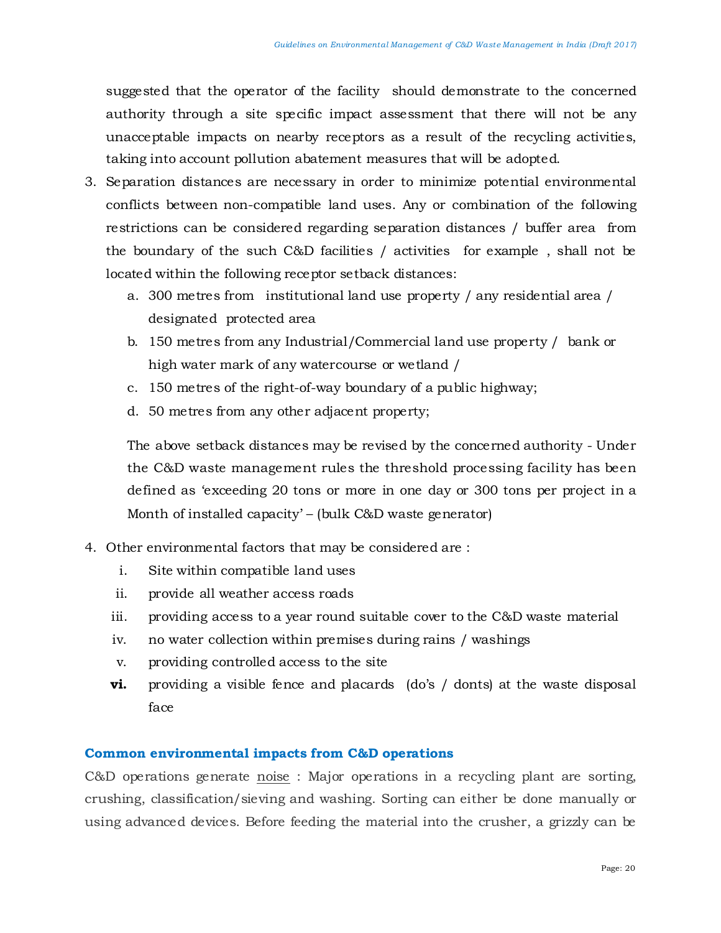suggested that the operator of the facility should demonstrate to the concerned authority through a site specific impact assessment that there will not be any unacceptable impacts on nearby receptors as a result of the recycling activities, taking into account pollution abatement measures that will be adopted.

- 3. Separation distances are necessary in order to minimize potential environmental conflicts between non-compatible land uses. Any or combination of the following restrictions can be considered regarding separation distances / buffer area from the boundary of the such C&D facilities / activities for example , shall not be located within the following receptor setback distances:
	- a. 300 metres from institutional land use property / any residential area / designated protected area
	- b. 150 metres from any Industrial/Commercial land use property / bank or high water mark of any watercourse or wetland /
	- c. 150 metres of the right-of-way boundary of a public highway;
	- d. 50 metres from any other adjacent property;

The above setback distances may be revised by the concerned authority - Under the C&D waste management rules the threshold processing facility has been defined as 'exceeding 20 tons or more in one day or 300 tons per project in a Month of installed capacity' – (bulk C&D waste generator)

- 4. Other environmental factors that may be considered are :
	- i. Site within compatible land uses
	- ii. provide all weather access roads
	- iii. providing access to a year round suitable cover to the C&D waste material
	- iv. no water collection within premises during rains / washings
	- v. providing controlled access to the site
	- **vi.** providing a visible fence and placards (do's / donts) at the waste disposal face

# **Common environmental impacts from C&D operations**

C&D operations generate noise : Major operations in a recycling plant are sorting, crushing, classification/sieving and washing. Sorting can either be done manually or using advanced devices. Before feeding the material into the crusher, a grizzly can be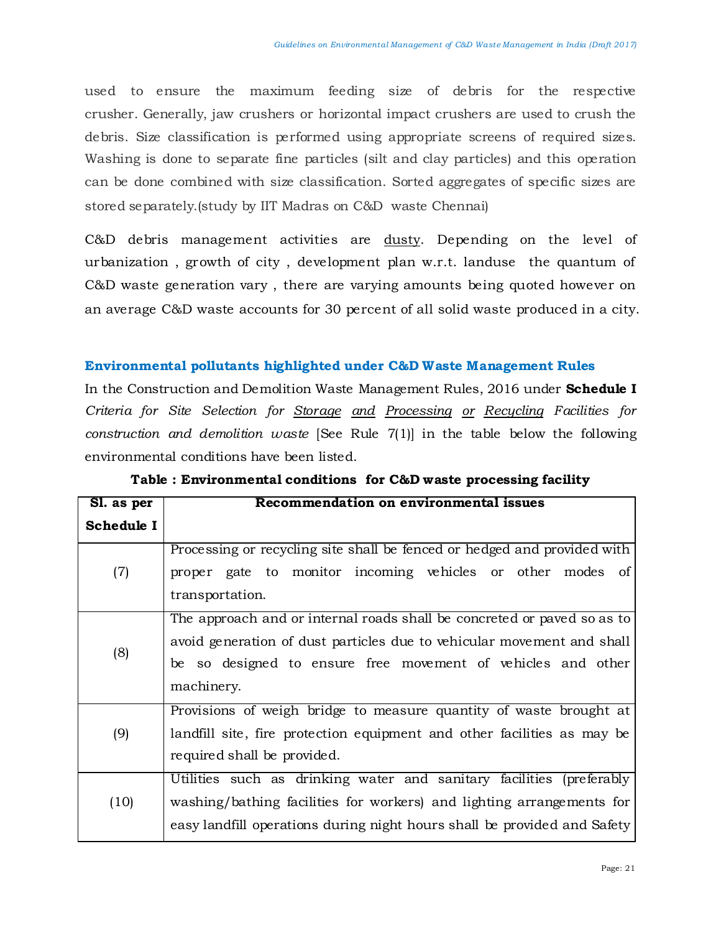used to ensure the maximum feeding size of debris for the respective crusher. Generally, jaw crushers or horizontal impact crushers are used to crush the debris. Size classification is performed using appropriate screens of required sizes. Washing is done to separate fine particles (silt and clay particles) and this operation can be done combined with size classification. Sorted aggregates of specific sizes are stored separately.(study by IIT Madras on C&D waste Chennai)

C&D debris management activities are dusty. Depending on the level of urbanization , growth of city , development plan w.r.t. landuse the quantum of C&D waste generation vary , there are varying amounts being quoted however on an average C&D waste accounts for 30 percent of all solid waste produced in a city.

## **Environmental pollutants highlighted under C&D Waste Management Rules**

In the Construction and Demolition Waste Management Rules, 2016 under **Schedule I** *Criteria for Site Selection for Storage and Processing or Recycling Facilities for construction and demolition waste* [See Rule 7(1)] in the table below the following environmental conditions have been listed.

| Sl. as per | Recommendation on environmental issues                                                                                                                                                                                          |  |  |  |
|------------|---------------------------------------------------------------------------------------------------------------------------------------------------------------------------------------------------------------------------------|--|--|--|
| Schedule I |                                                                                                                                                                                                                                 |  |  |  |
| (7)        | Processing or recycling site shall be fenced or hedged and provided with<br>proper gate to monitor incoming vehicles or other modes of<br>transportation.                                                                       |  |  |  |
| (8)        | The approach and or internal roads shall be concreted or paved so as to<br>avoid generation of dust particles due to vehicular movement and shall<br>be so designed to ensure free movement of vehicles and other<br>machinery. |  |  |  |
| (9)        | Provisions of weigh bridge to measure quantity of waste brought at<br>landfill site, fire protection equipment and other facilities as may be<br>required shall be provided.                                                    |  |  |  |
| (10)       | Utilities such as drinking water and sanitary facilities (preferably<br>washing/bathing facilities for workers) and lighting arrangements for<br>easy landfill operations during night hours shall be provided and Safety       |  |  |  |

**Table : Environmental conditions for C&D waste processing facility**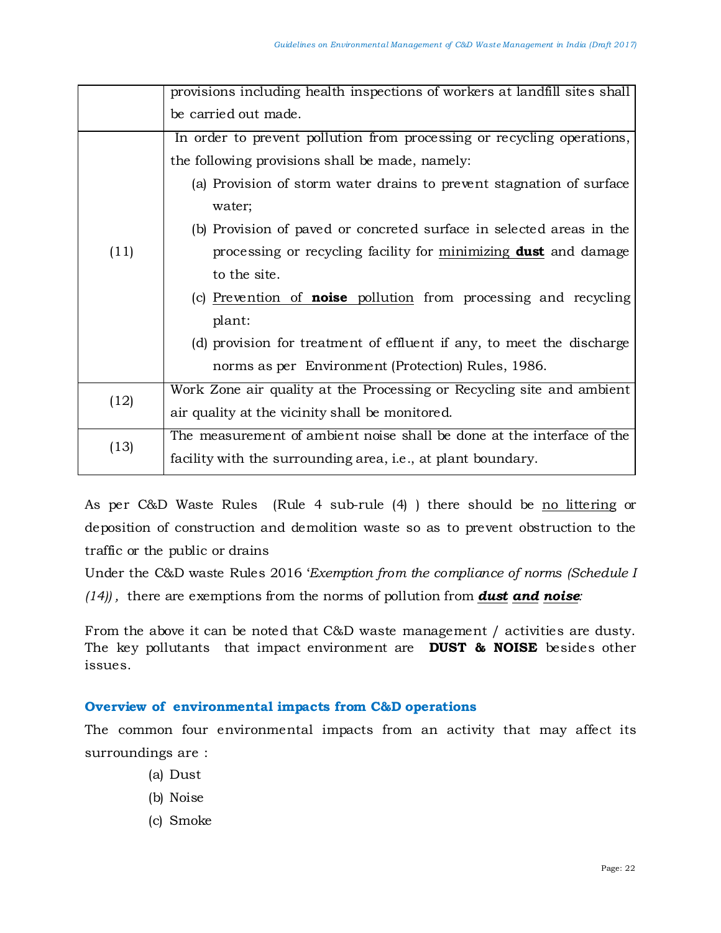|      | provisions including health inspections of workers at landfill sites shall |  |  |
|------|----------------------------------------------------------------------------|--|--|
|      | be carried out made.                                                       |  |  |
|      | In order to prevent pollution from processing or recycling operations,     |  |  |
|      | the following provisions shall be made, namely:                            |  |  |
|      | (a) Provision of storm water drains to prevent stagnation of surface       |  |  |
|      | water;                                                                     |  |  |
|      | (b) Provision of paved or concreted surface in selected areas in the       |  |  |
| (11) | processing or recycling facility for minimizing <b>dust</b> and damage     |  |  |
|      | to the site.                                                               |  |  |
|      | (c) Prevention of <b>noise</b> pollution from processing and recycling     |  |  |
|      | plant:                                                                     |  |  |
|      | (d) provision for treatment of effluent if any, to meet the discharge      |  |  |
|      | norms as per Environment (Protection) Rules, 1986.                         |  |  |
|      | Work Zone air quality at the Processing or Recycling site and ambient      |  |  |
| (12) | air quality at the vicinity shall be monitored.                            |  |  |
|      | The measurement of ambient noise shall be done at the interface of the     |  |  |
| (13) | facility with the surrounding area, i.e., at plant boundary.               |  |  |

As per C&D Waste Rules (Rule 4 sub-rule (4) ) there should be no littering or deposition of construction and demolition waste so as to prevent obstruction to the traffic or the public or drains

Under the C&D waste Rules 2016 '*Exemption from the compliance of norms (Schedule I (14)) ,* there are exemptions from the norms of pollution from *dust and noise:* 

From the above it can be noted that C&D waste management / activities are dusty. The key pollutants that impact environment are **DUST & NOISE** besides other issues.

# **Overview of environmental impacts from C&D operations**

The common four environmental impacts from an activity that may affect its surroundings are :

- (a) Dust
- (b) Noise
- (c) Smoke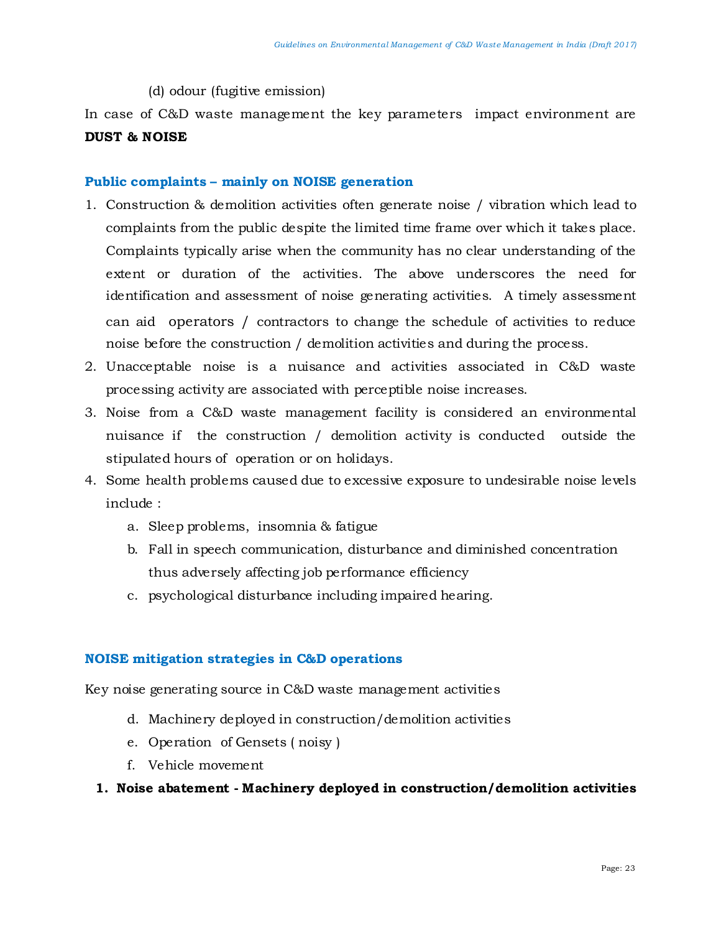(d) odour (fugitive emission)

In case of C&D waste management the key parameters impact environment are **DUST & NOISE**

# **Public complaints – mainly on NOISE generation**

- 1. Construction & demolition activities often generate noise / vibration which lead to complaints from the public despite the limited time frame over which it takes place. Complaints typically arise when the community has no clear understanding of the extent or duration of the activities. The above underscores the need for identification and assessment of noise generating activities. A timely assessment can aid operators / contractors to change the schedule of activities to reduce noise before the construction / demolition activities and during the process.
- 2. Unacceptable noise is a nuisance and activities associated in C&D waste processing activity are associated with perceptible noise increases.
- 3. Noise from a C&D waste management facility is considered an environmental nuisance if the construction / demolition activity is conducted outside the stipulated hours of operation or on holidays.
- 4. Some health problems caused due to excessive exposure to undesirable noise levels include :
	- a. Sleep problems, insomnia & fatigue
	- b. Fall in speech communication, disturbance and diminished concentration thus adversely affecting job performance efficiency
	- c. psychological disturbance including impaired hearing.

# **NOISE mitigation strategies in C&D operations**

Key noise generating source in C&D waste management activities

- d. Machinery deployed in construction/demolition activities
- e. Operation of Gensets ( noisy )
- f. Vehicle movement

# **1. Noise abatement - Machinery deployed in construction/demolition activities**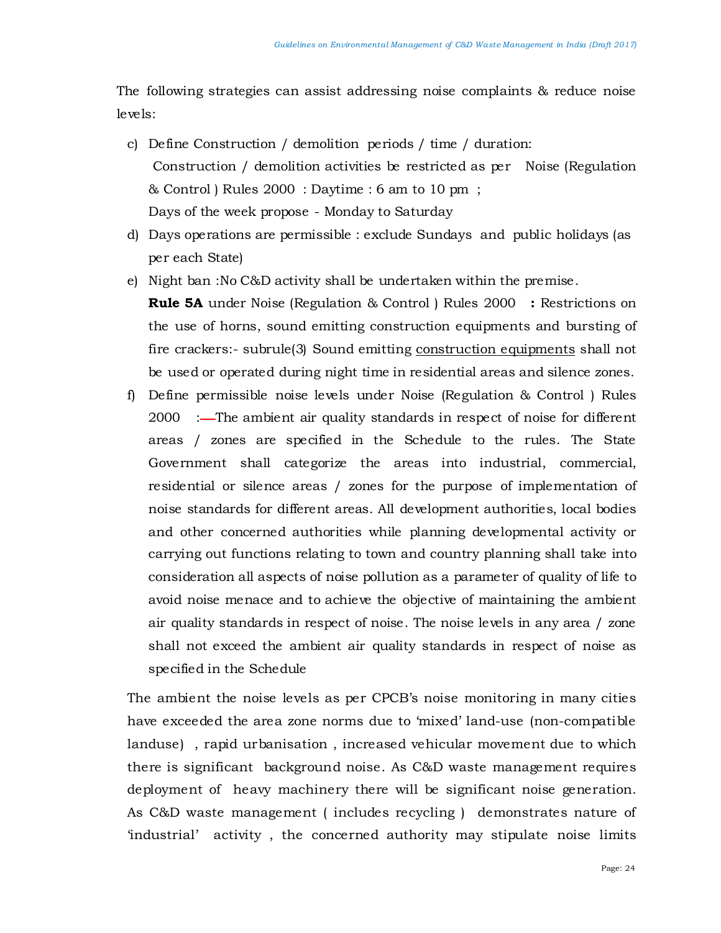The following strategies can assist addressing noise complaints & reduce noise levels:

- c) Define Construction / demolition periods / time / duration: Construction / demolition activities be restricted as per Noise (Regulation & Control ) Rules 2000 : Daytime : 6 am to 10 pm ; Days of the week propose - Monday to Saturday
- d) Days operations are permissible : exclude Sundays and public holidays (as per each State)
- e) Night ban :No C&D activity shall be undertaken within the premise.

**Rule 5A** under Noise (Regulation & Control ) Rules 2000 **:** Restrictions on the use of horns, sound emitting construction equipments and bursting of fire crackers:- subrule(3) Sound emitting construction equipments shall not be used or operated during night time in residential areas and silence zones.

f) Define permissible noise levels under Noise (Regulation & Control ) Rules 2000 :—The ambient air quality standards in respect of noise for different areas / zones are specified in the Schedule to the rules. The State Government shall categorize the areas into industrial, commercial, residential or silence areas / zones for the purpose of implementation of noise standards for different areas. All development authorities, local bodies and other concerned authorities while planning developmental activity or carrying out functions relating to town and country planning shall take into consideration all aspects of noise pollution as a parameter of quality of life to avoid noise menace and to achieve the objective of maintaining the ambient air quality standards in respect of noise. The noise levels in any area / zone shall not exceed the ambient air quality standards in respect of noise as specified in the Schedule

The ambient the noise levels as per CPCB's noise monitoring in many cities have exceeded the area zone norms due to 'mixed' land-use (non-compatible landuse) , rapid urbanisation , increased vehicular movement due to which there is significant background noise. As C&D waste management requires deployment of heavy machinery there will be significant noise generation. As C&D waste management ( includes recycling ) demonstrates nature of 'industrial' activity , the concerned authority may stipulate noise limits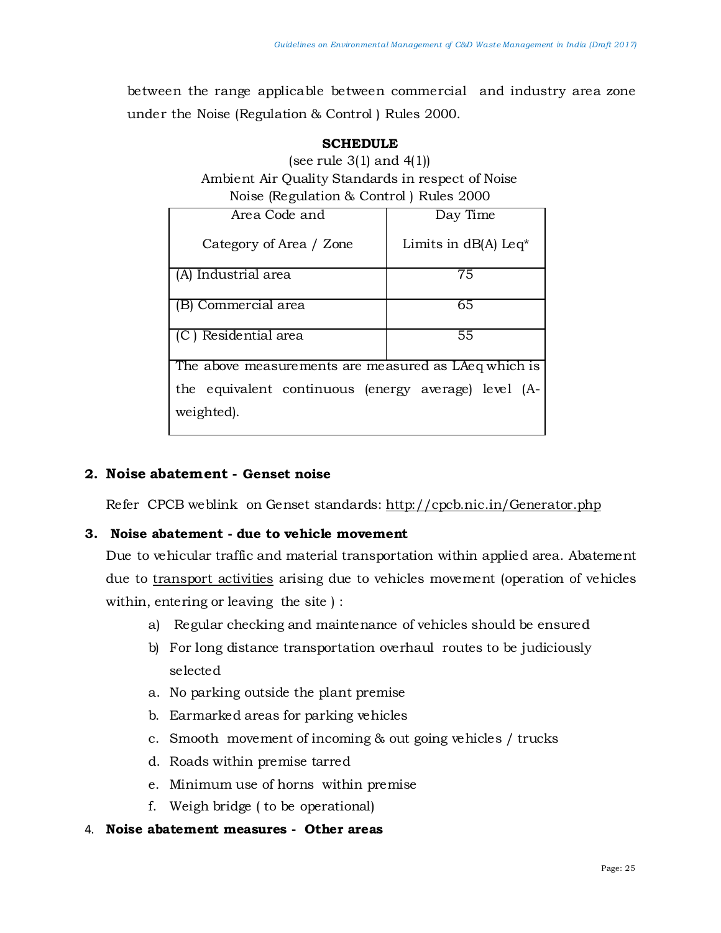between the range applicable between commercial and industry area zone under the Noise (Regulation & Control ) Rules 2000.

| SUNEDULE                                          |                                    |  |  |  |  |
|---------------------------------------------------|------------------------------------|--|--|--|--|
| (see rule $3(1)$ and $4(1)$ )                     |                                    |  |  |  |  |
| Ambient Air Quality Standards in respect of Noise |                                    |  |  |  |  |
| Noise (Regulation & Control) Rules 2000           |                                    |  |  |  |  |
| Area Code and                                     | Day Time                           |  |  |  |  |
| Category of Area / Zone                           | Limits in $dB(A)$ Leq <sup>*</sup> |  |  |  |  |
| (A) Industrial area                               | 75                                 |  |  |  |  |
| $\overline{2}$                                    |                                    |  |  |  |  |

# **SCHEDULE**

(B) Commercial area 65 (C ) Residential area 55

The above measurements are measured as LAeq which is the equivalent continuous (energy average) level (Aweighted).

# **2. Noise abatement - Genset noise**

Refer CPCB weblink on Genset standards:<http://cpcb.nic.in/Generator.php>

# **3. Noise abatement - due to vehicle movement**

Due to vehicular traffic and material transportation within applied area. Abatement due to transport activities arising due to vehicles movement (operation of vehicles within, entering or leaving the site ) :

- a) Regular checking and maintenance of vehicles should be ensured
- b) For long distance transportation overhaul routes to be judiciously selected
- a. No parking outside the plant premise
- b. Earmarked areas for parking vehicles
- c. Smooth movement of incoming & out going vehicles / trucks
- d. Roads within premise tarred
- e. Minimum use of horns within premise
- f. Weigh bridge ( to be operational)

# 4. **Noise abatement measures - Other areas**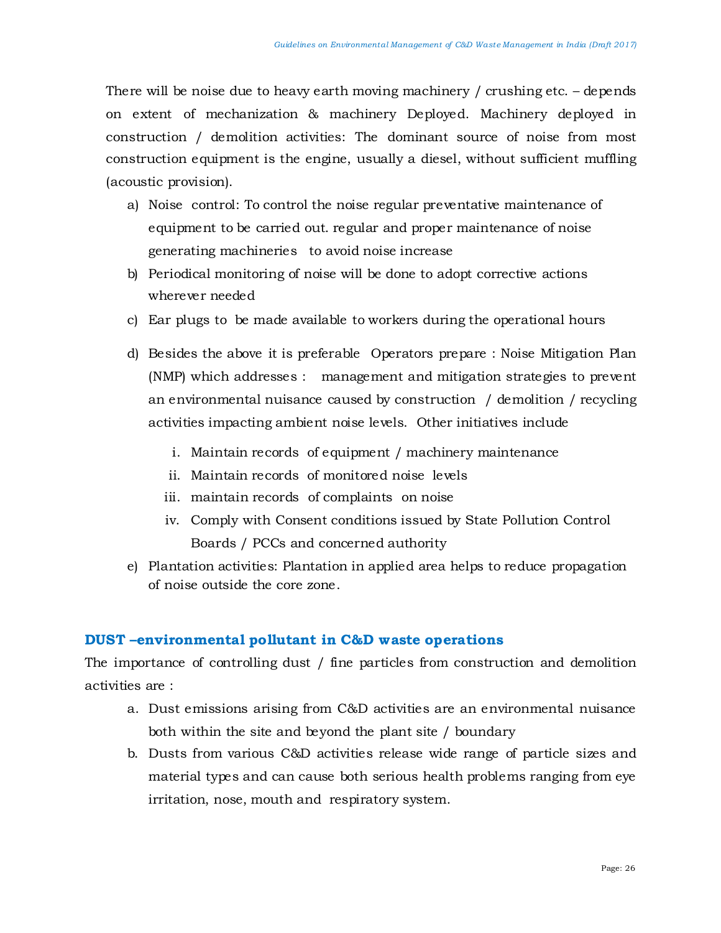There will be noise due to heavy earth moving machinery / crushing etc. – depends on extent of mechanization & machinery Deployed. Machinery deployed in construction / demolition activities: The dominant source of noise from most construction equipment is the engine, usually a diesel, without sufficient muffling (acoustic provision).

- a) Noise control: To control the noise regular preventative maintenance of equipment to be carried out. regular and proper maintenance of noise generating machineries to avoid noise increase
- b) Periodical monitoring of noise will be done to adopt corrective actions wherever needed
- c) Ear plugs to be made available to workers during the operational hours
- d) Besides the above it is preferable Operators prepare : Noise Mitigation Plan (NMP) which addresses : management and mitigation strategies to prevent an environmental nuisance caused by construction / demolition / recycling activities impacting ambient noise levels. Other initiatives include
	- i. Maintain records of equipment / machinery maintenance
	- ii. Maintain records of monitored noise levels
	- iii. maintain records of complaints on noise
	- iv. Comply with Consent conditions issued by State Pollution Control Boards / PCCs and concerned authority
- e) Plantation activities: Plantation in applied area helps to reduce propagation of noise outside the core zone.

# **DUST –environmental pollutant in C&D waste operations**

The importance of controlling dust / fine particles from construction and demolition activities are :

- a. Dust emissions arising from C&D activities are an environmental nuisance both within the site and beyond the plant site / boundary
- b. Dusts from various C&D activities release wide range of particle sizes and material types and can cause both serious health problems ranging from eye irritation, nose, mouth and respiratory system.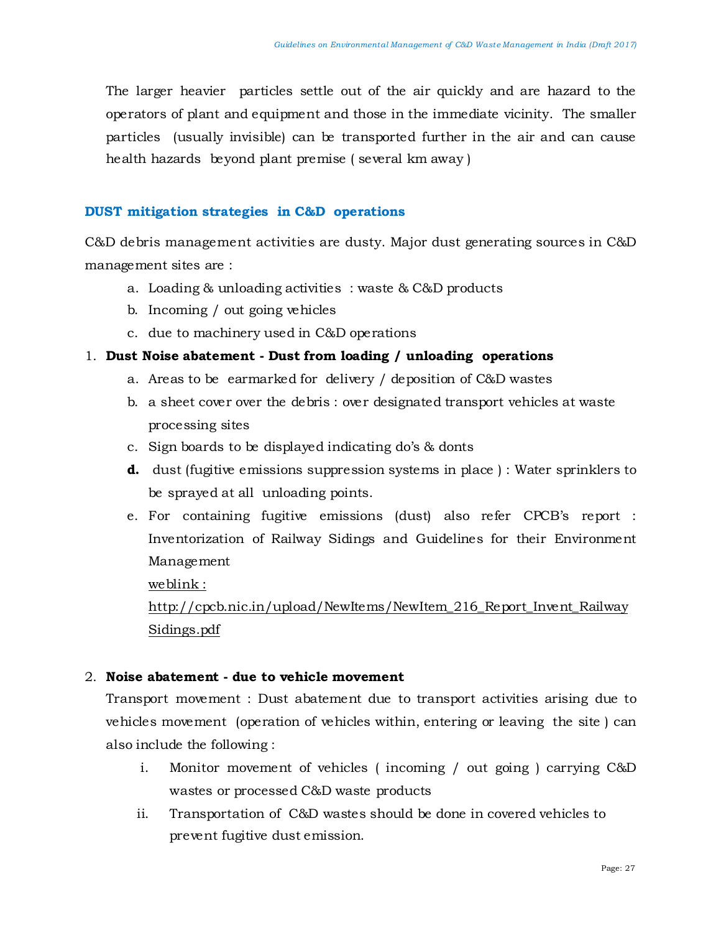The larger heavier particles settle out of the air quickly and are hazard to the operators of plant and equipment and those in the immediate vicinity. The smaller particles (usually invisible) can be transported further in the air and can cause health hazards beyond plant premise ( several km away )

## **DUST mitigation strategies in C&D operations**

C&D debris management activities are dusty. Major dust generating sources in C&D management sites are :

- a. Loading & unloading activities : waste & C&D products
- b. Incoming / out going vehicles
- c. due to machinery used in C&D operations

# 1. **Dust Noise abatement - Dust from loading / unloading operations**

- a. Areas to be earmarked for delivery / deposition of C&D wastes
- b. a sheet cover over the debris : over designated transport vehicles at waste processing sites
- c. Sign boards to be displayed indicating do's & donts
- **d.** dust (fugitive emissions suppression systems in place): Water sprinklers to be sprayed at all unloading points.
- e. For containing fugitive emissions (dust) also refer CPCB's report : Inventorization of Railway Sidings and Guidelines for their Environment Management

weblink :

http://cpcb.nic.in/upload/NewItems/NewItem\_216\_Report\_Invent\_Railway Sidings.pdf

# 2. **Noise abatement - due to vehicle movement**

Transport movement : Dust abatement due to transport activities arising due to vehicles movement (operation of vehicles within, entering or leaving the site ) can also include the following :

- i. Monitor movement of vehicles ( incoming / out going ) carrying C&D wastes or processed C&D waste products
- ii. Transportation of C&D wastes should be done in covered vehicles to prevent fugitive dust emission.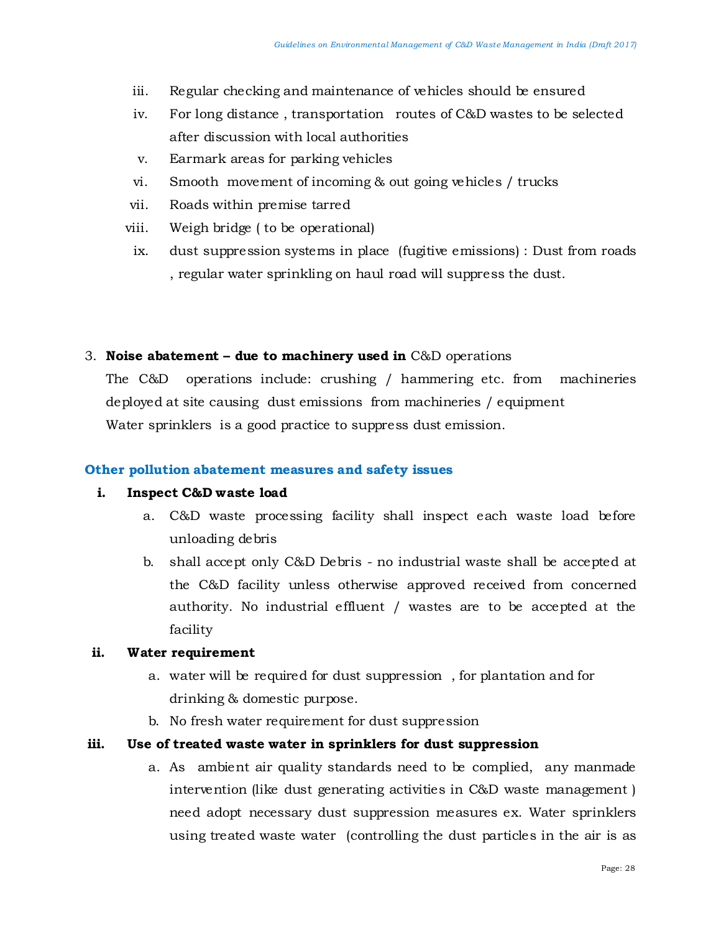- iii. Regular checking and maintenance of vehicles should be ensured
- iv. For long distance , transportation routes of C&D wastes to be selected after discussion with local authorities
- v. Earmark areas for parking vehicles
- vi. Smooth movement of incoming & out going vehicles / trucks
- vii. Roads within premise tarred
- viii. Weigh bridge ( to be operational)
- ix. dust suppression systems in place (fugitive emissions) : Dust from roads , regular water sprinkling on haul road will suppress the dust.

## 3. **Noise abatement – due to machinery used in** C&D operations

The C&D operations include: crushing / hammering etc. from machineries deployed at site causing dust emissions from machineries / equipment Water sprinklers is a good practice to suppress dust emission.

# **Other pollution abatement measures and safety issues**

#### **i. Inspect C&D waste load**

- a. C&D waste processing facility shall inspect each waste load before unloading debris
- b. shall accept only C&D Debris no industrial waste shall be accepted at the C&D facility unless otherwise approved received from concerned authority. No industrial effluent / wastes are to be accepted at the facility

#### **ii. Water requirement**

- a. water will be required for dust suppression , for plantation and for drinking & domestic purpose.
- b. No fresh water requirement for dust suppression

# **iii. Use of treated waste water in sprinklers for dust suppression**

a. As ambient air quality standards need to be complied, any manmade intervention (like dust generating activities in C&D waste management ) need adopt necessary dust suppression measures ex. Water sprinklers using treated waste water (controlling the dust particles in the air is as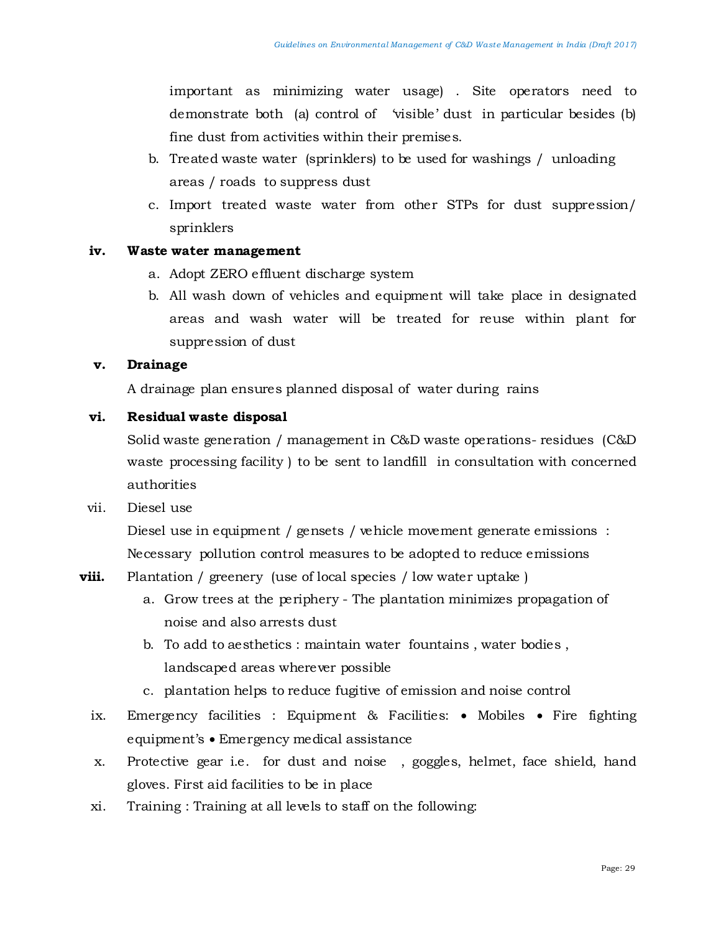important as minimizing water usage) . Site operators need to demonstrate both (a) control of 'visible' dust in particular besides (b) fine dust from activities within their premises.

- b. Treated waste water (sprinklers) to be used for washings / unloading areas / roads to suppress dust
- c. Import treated waste water from other STPs for dust suppression/ sprinklers

#### **iv. Waste water management**

- a. Adopt ZERO effluent discharge system
- b. All wash down of vehicles and equipment will take place in designated areas and wash water will be treated for reuse within plant for suppression of dust

#### **v. Drainage**

A drainage plan ensures planned disposal of water during rains

## **vi. Residual waste disposal**

Solid waste generation / management in C&D waste operations- residues (C&D waste processing facility ) to be sent to landfill in consultation with concerned authorities

#### vii. Diesel use

Diesel use in equipment / gensets / vehicle movement generate emissions : Necessary pollution control measures to be adopted to reduce emissions

- **viii.** Plantation / greenery (use of local species / low water uptake)
	- a. Grow trees at the periphery The plantation minimizes propagation of noise and also arrests dust
	- b. To add to aesthetics : maintain water fountains , water bodies , landscaped areas wherever possible
	- c. plantation helps to reduce fugitive of emission and noise control
	- ix. Emergency facilities : Equipment & Facilities: Mobiles Fire fighting equipment's • Emergency medical assistance
	- x. Protective gear i.e. for dust and noise , goggles, helmet, face shield, hand gloves. First aid facilities to be in place
	- xi. Training : Training at all levels to staff on the following: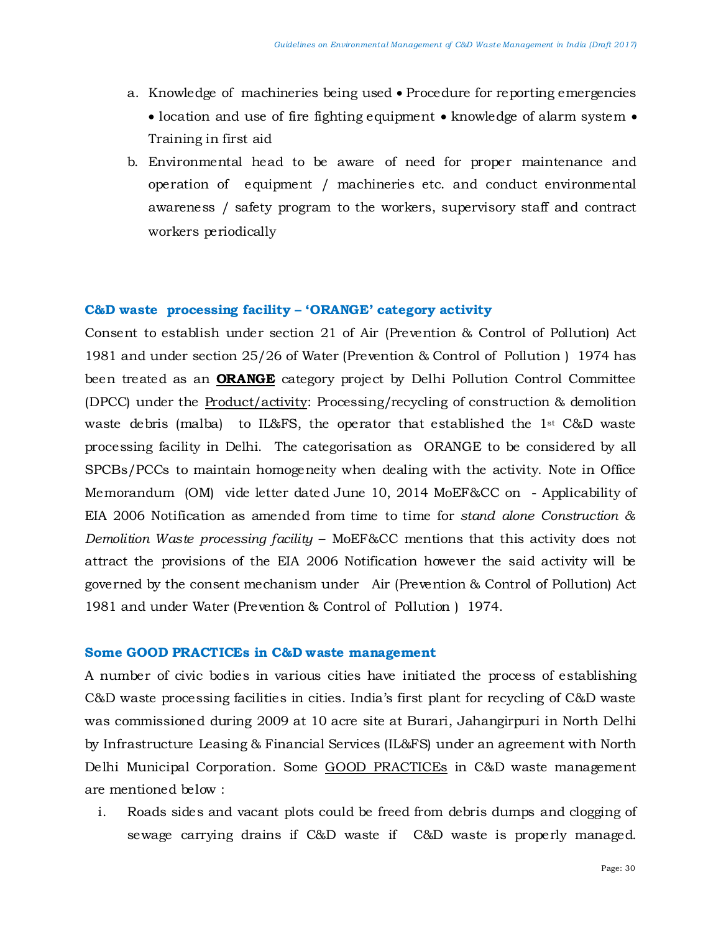- a. Knowledge of machineries being used Procedure for reporting emergencies • location and use of fire fighting equipment • knowledge of alarm system • Training in first aid
- b. Environmental head to be aware of need for proper maintenance and operation of equipment / machineries etc. and conduct environmental awareness / safety program to the workers, supervisory staff and contract workers periodically

#### **C&D waste processing facility – 'ORANGE' category activity**

Consent to establish under section 21 of Air (Prevention & Control of Pollution) Act 1981 and under section 25/26 of Water (Prevention & Control of Pollution ) 1974 has been treated as an **ORANGE** category project by Delhi Pollution Control Committee (DPCC) under the Product/activity: Processing/recycling of construction & demolition waste debris (malba) to IL&FS, the operator that established the  $1<sup>st</sup> C&D$  waste processing facility in Delhi. The categorisation as ORANGE to be considered by all SPCBs/PCCs to maintain homogeneity when dealing with the activity. Note in Office Memorandum (OM) vide letter dated June 10, 2014 MoEF&CC on - Applicability of EIA 2006 Notification as amended from time to time for *stand alone Construction & Demolition Waste processing facility* – MoEF&CC mentions that this activity does not attract the provisions of the EIA 2006 Notification however the said activity will be governed by the consent mechanism under Air (Prevention & Control of Pollution) Act 1981 and under Water (Prevention & Control of Pollution ) 1974.

#### **Some GOOD PRACTICEs in C&D waste management**

A number of civic bodies in various cities have initiated the process of establishing C&D waste processing facilities in cities. India's first plant for recycling of C&D waste was commissioned during 2009 at 10 acre site at Burari, Jahangirpuri in North Delhi by Infrastructure Leasing & Financial Services (IL&FS) under an agreement with North Delhi Municipal Corporation. Some GOOD PRACTICEs in C&D waste management are mentioned below :

i. Roads sides and vacant plots could be freed from debris dumps and clogging of sewage carrying drains if C&D waste if C&D waste is properly managed.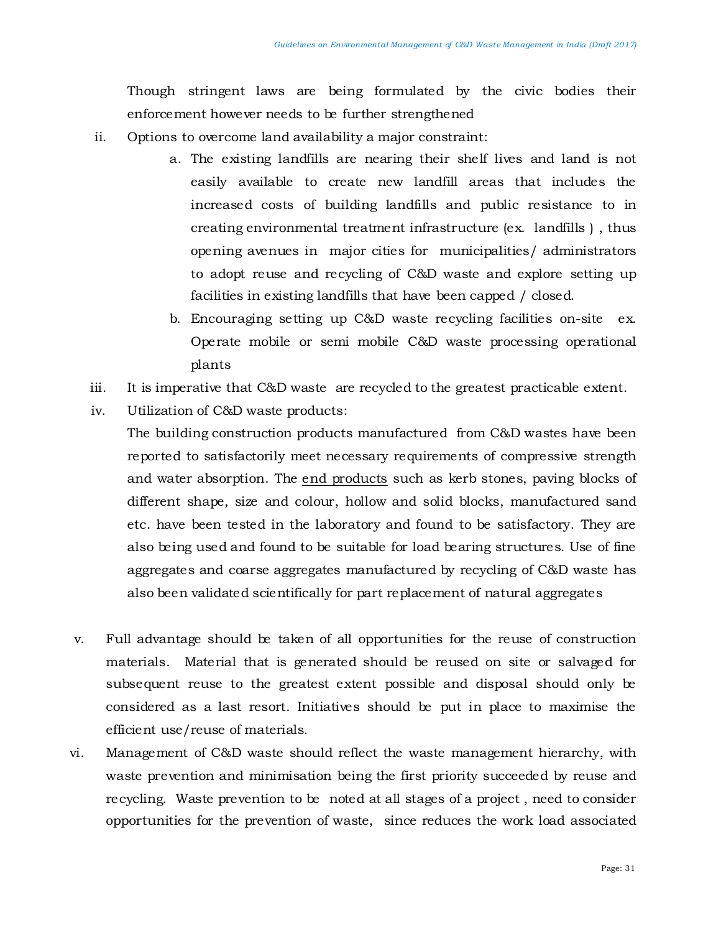Though stringent laws are being formulated by the civic bodies their enforcement however needs to be further strengthened

- ii. Options to overcome land availability a major constraint:
	- a. The existing landfills are nearing their shelf lives and land is not easily available to create new landfill areas that includes the increased costs of building landfills and public resistance to in creating environmental treatment infrastructure (ex. landfills ) , thus opening avenues in major cities for municipalities/ administrators to adopt reuse and recycling of C&D waste and explore setting up facilities in existing landfills that have been capped / closed.
	- b. Encouraging setting up C&D waste recycling facilities on-site ex. Operate mobile or semi mobile C&D waste processing operational plants
- iii. It is imperative that C&D waste are recycled to the greatest practicable extent.
- iv. Utilization of C&D waste products:
	- The building construction products manufactured from C&D wastes have been reported to satisfactorily meet necessary requirements of compressive strength and water absorption. The end products such as kerb stones, paving blocks of different shape, size and colour, hollow and solid blocks, manufactured sand etc. have been tested in the laboratory and found to be satisfactory. They are also being used and found to be suitable for load bearing structures. Use of fine aggregates and coarse aggregates manufactured by recycling of C&D waste has also been validated scientifically for part replacement of natural aggregates
- v. Full advantage should be taken of all opportunities for the reuse of construction materials. Material that is generated should be reused on site or salvaged for subsequent reuse to the greatest extent possible and disposal should only be considered as a last resort. Initiatives should be put in place to maximise the efficient use/reuse of materials.
- vi. Management of C&D waste should reflect the waste management hierarchy, with waste prevention and minimisation being the first priority succeeded by reuse and recycling. Waste prevention to be noted at all stages of a project , need to consider opportunities for the prevention of waste, since reduces the work load associated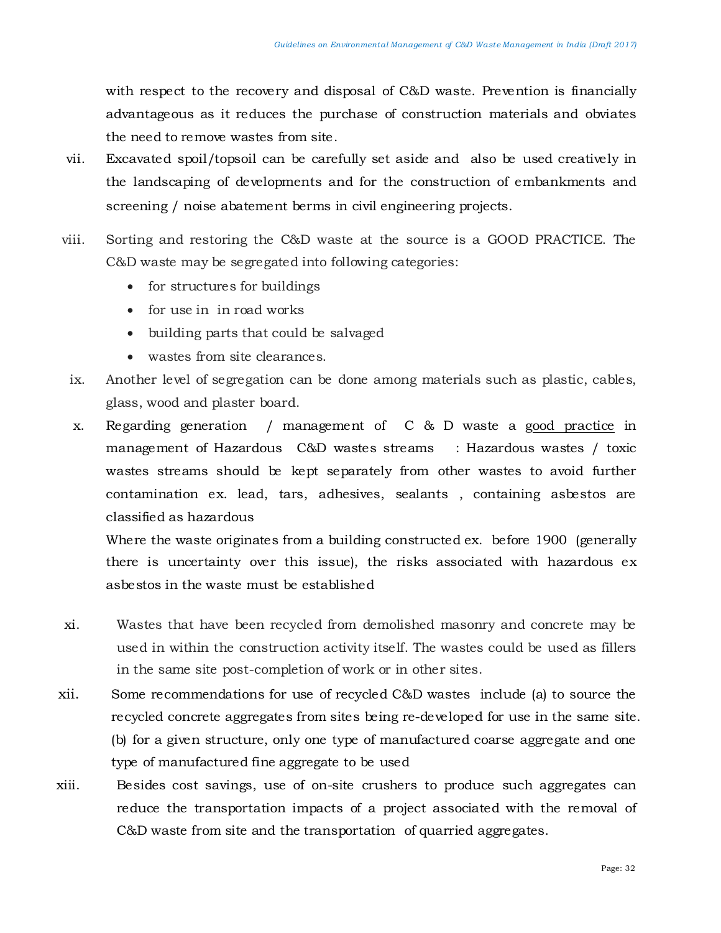with respect to the recovery and disposal of C&D waste. Prevention is financially advantageous as it reduces the purchase of construction materials and obviates the need to remove wastes from site.

- vii. Excavated spoil/topsoil can be carefully set aside and also be used creatively in the landscaping of developments and for the construction of embankments and screening / noise abatement berms in civil engineering projects.
- viii. Sorting and restoring the C&D waste at the source is a GOOD PRACTICE. The C&D waste may be segregated into following categories:
	- for structures for buildings
	- for use in in road works
	- building parts that could be salvaged
	- wastes from site clearances.
	- ix. Another level of segregation can be done among materials such as plastic, cables, glass, wood and plaster board.
	- x. Regarding generation / management of C & D waste a good practice in management of Hazardous C&D wastes streams : Hazardous wastes / toxic wastes streams should be kept separately from other wastes to avoid further contamination ex. lead, tars, adhesives, sealants , containing asbestos are classified as hazardous

Where the waste originates from a building constructed ex. before 1900 (generally there is uncertainty over this issue), the risks associated with hazardous ex asbestos in the waste must be established

- xi. Wastes that have been recycled from demolished masonry and concrete may be used in within the construction activity itself. The wastes could be used as fillers in the same site post-completion of work or in other sites.
- xii. Some recommendations for use of recycled C&D wastes include (a) to source the recycled concrete aggregates from sites being re-developed for use in the same site. (b) for a given structure, only one type of manufactured coarse aggregate and one type of manufactured fine aggregate to be used
- xiii. Besides cost savings, use of on-site crushers to produce such aggregates can reduce the transportation impacts of a project associated with the removal of C&D waste from site and the transportation of quarried aggregates.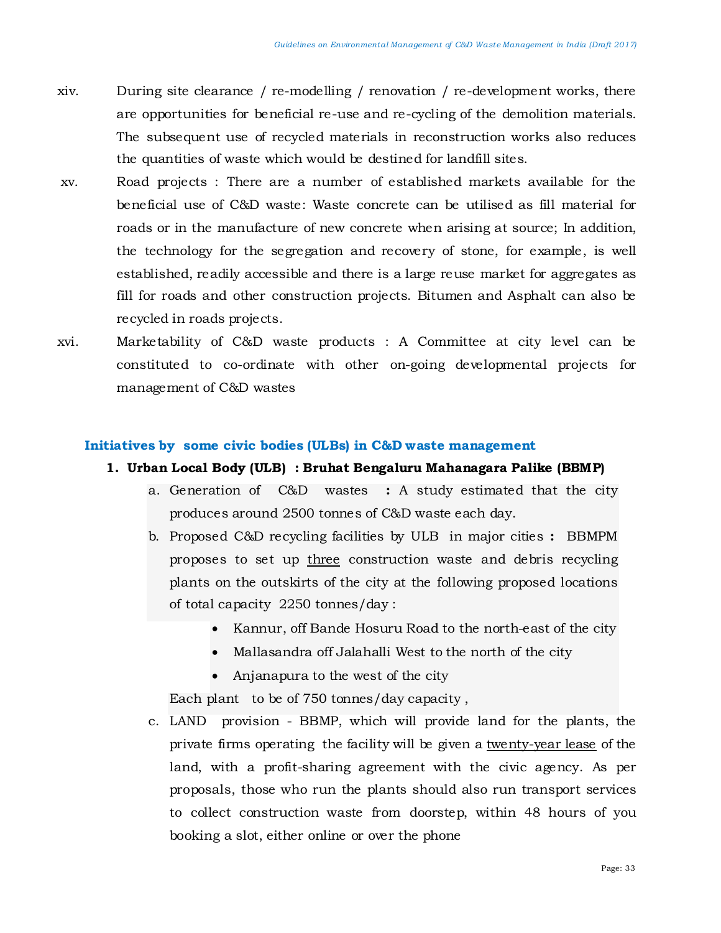- xiv. During site clearance / re-modelling / renovation / re-development works, there are opportunities for beneficial re-use and re-cycling of the demolition materials. The subsequent use of recycled materials in reconstruction works also reduces the quantities of waste which would be destined for landfill sites.
- xv. Road projects : There are a number of established markets available for the beneficial use of C&D waste: Waste concrete can be utilised as fill material for roads or in the manufacture of new concrete when arising at source; In addition, the technology for the segregation and recovery of stone, for example, is well established, readily accessible and there is a large reuse market for aggregates as fill for roads and other construction projects. Bitumen and Asphalt can also be recycled in roads projects.
- xvi. Marketability of C&D waste products : A Committee at city level can be constituted to co-ordinate with other on-going developmental projects for management of C&D wastes

#### **Initiatives by some civic bodies (ULBs) in C&D waste management**

#### **1. Urban Local Body (ULB) : Bruhat Bengaluru Mahanagara Palike (BBMP)**

- a. Generation of C&D wastes **:** A study estimated that the city produces around 2500 tonnes of C&D waste each day.
- b. Proposed C&D recycling facilities by ULB in major cities **:** BBMPM proposes to set up three construction waste and debris recycling plants on the outskirts of the city at the following proposed locations of total capacity 2250 tonnes/day :
	- Kannur, off Bande Hosuru Road to the north-east of the city
	- Mallasandra off Jalahalli West to the north of the city
	- Anjanapura to the west of the city

Each plant to be of 750 tonnes/day capacity ,

c. LAND provision - BBMP, which will provide land for the plants, the private firms operating the facility will be given a twenty-year lease of the land, with a profit-sharing agreement with the civic agency. As per proposals, those who run the plants should also run transport services to collect construction waste from doorstep, within 48 hours of you booking a slot, either online or over the phone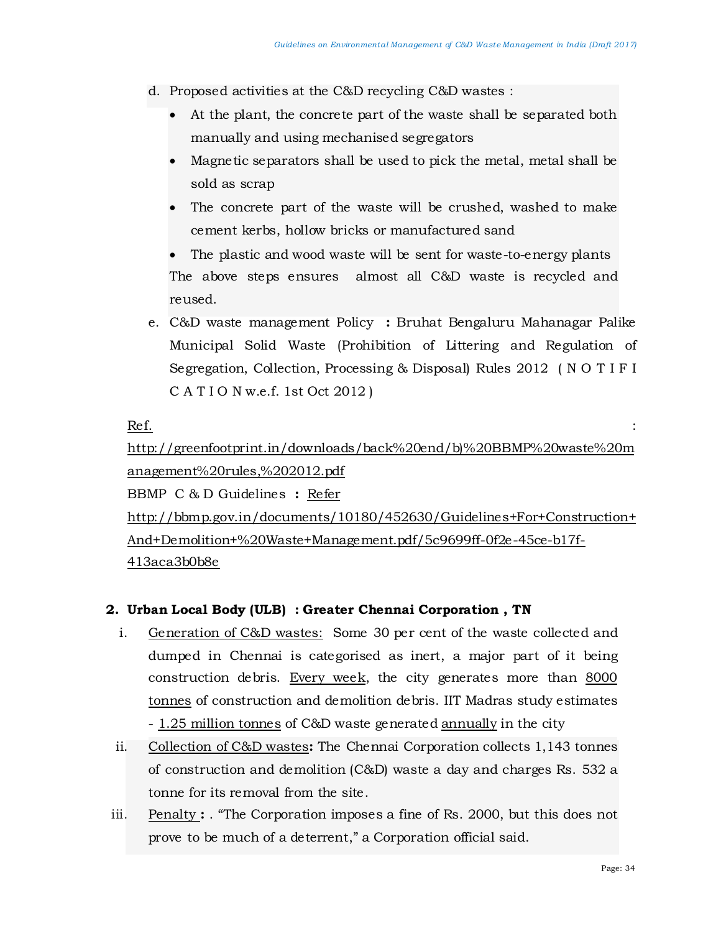- d. Proposed activities at the C&D recycling C&D wastes :
	- At the plant, the concrete part of the waste shall be separated both manually and using mechanised segregators
	- Magnetic separators shall be used to pick the metal, metal shall be sold as scrap
	- The concrete part of the waste will be crushed, washed to make cement kerbs, hollow bricks or manufactured sand

The plastic and wood waste will be sent for waste-to-energy plants The above steps ensures almost all C&D waste is recycled and reused.

e. C&D waste management Policy **:** Bruhat Bengaluru Mahanagar Palike Municipal Solid Waste (Prohibition of Littering and Regulation of Segregation, Collection, Processing & Disposal) Rules 2012 ( N O T I F I C A T I O N w.e.f. 1st Oct 2012 )

 $\overline{\text{Ref.}}$  :  $\overline{\text{Ref.}}$ 

[http://greenfootprint.in/downloads/back%20end/b\)%20BBMP%20waste%20m](http://greenfootprint.in/downloads/back%20end/b)%20BBMP%20waste%20management%20rules,%202012.pdf) [anagement%20rules,%202012.pdf](http://greenfootprint.in/downloads/back%20end/b)%20BBMP%20waste%20management%20rules,%202012.pdf)

BBMP C & D Guidelines **:** Refer

[http://bbmp.gov.in/documents/10180/452630/Guidelines+For+Construction+](http://bbmp.gov.in/documents/10180/452630/Guidelines+For+Construction+And+Demolition+%20Waste+Management.pdf/5c9699ff-0f2e-45ce-b17f-413aca3b0b8e) [And+Demolition+%20Waste+Management.pdf/5c9699ff-0f2e-45ce-b17f-](http://bbmp.gov.in/documents/10180/452630/Guidelines+For+Construction+And+Demolition+%20Waste+Management.pdf/5c9699ff-0f2e-45ce-b17f-413aca3b0b8e)[413aca3b0b8e](http://bbmp.gov.in/documents/10180/452630/Guidelines+For+Construction+And+Demolition+%20Waste+Management.pdf/5c9699ff-0f2e-45ce-b17f-413aca3b0b8e)

# **2. Urban Local Body (ULB) : Greater Chennai Corporation , TN**

- i. Generation of C&D wastes:Some 30 per cent of the waste collected and dumped in Chennai is categorised as inert, a major part of it being construction debris. Every week, the city generates more than 8000 tonnes of construction and demolition debris. IIT Madras study estimates - 1.25 million tonnes of C&D waste generated annually in the city
- ii. Collection of C&D wastes**:** The Chennai Corporation collects 1,143 tonnes of construction and demolition (C&D) waste a day and charges Rs. 532 a tonne for its removal from the site.
- iii. Penalty **:** . "The Corporation imposes a fine of Rs. 2000, but this does not prove to be much of a deterrent," a Corporation official said.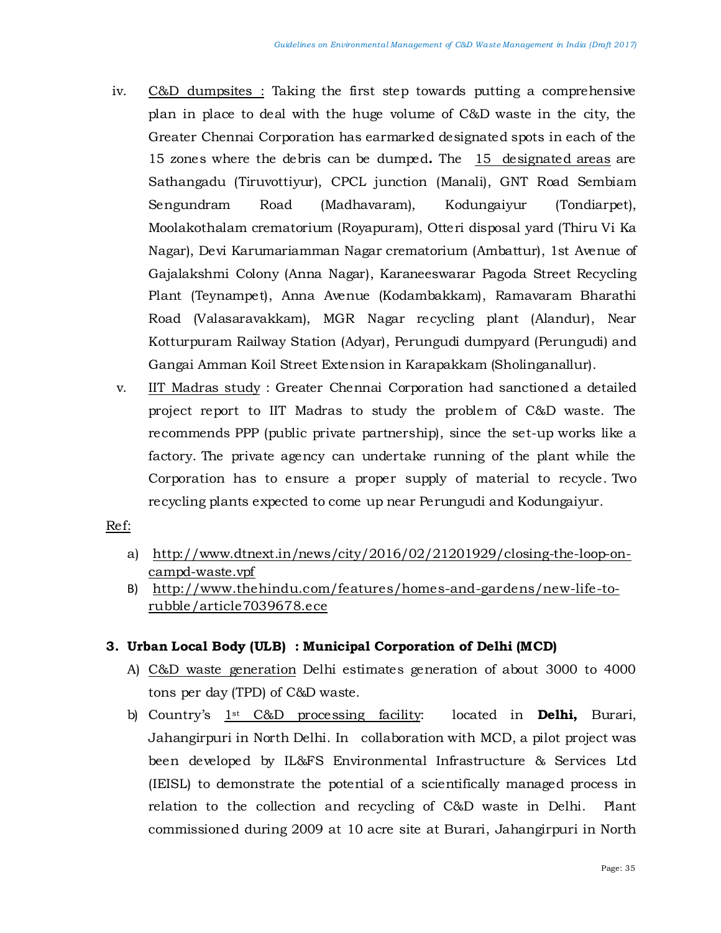- iv. C&D dumpsites : Taking the first step towards putting a comprehensive plan in place to deal with the huge volume of C&D waste in the city, the Greater Chennai Corporation has earmarked designated spots in each of the 15 zones where the debris can be dumped*.* The 15 designated areas are Sathangadu (Tiruvottiyur), CPCL junction (Manali), GNT Road Sembiam Sengundram Road (Madhavaram), Kodungaiyur (Tondiarpet), Moolakothalam crematorium (Royapuram), Otteri disposal yard (Thiru Vi Ka Nagar), Devi Karumariamman Nagar crematorium (Ambattur), 1st Avenue of Gajalakshmi Colony (Anna Nagar), Karaneeswarar Pagoda Street Recycling Plant (Teynampet), Anna Avenue (Kodambakkam), Ramavaram Bharathi Road (Valasaravakkam), MGR Nagar recycling plant (Alandur), Near Kotturpuram Railway Station (Adyar), Perungudi dumpyard (Perungudi) and Gangai Amman Koil Street Extension in Karapakkam (Sholinganallur).
- v. IIT Madras study : Greater Chennai Corporation had sanctioned a detailed project report to IIT Madras to study the problem of C&D waste. The recommends PPP (public private partnership), since the set-up works like a factory. The private agency can undertake running of the plant while the Corporation has to ensure a proper supply of material to recycle. Two recycling plants expected to come up near Perungudi and Kodungaiyur.

#### Ref:

- a) [http://www.dtnext.in/news/city/2016/02/21201929/closing-the-loop-on](http://www.dtnext.in/News/City/2016/02/21201929/Closing-the-loop-on-CampD-waste.vpf)[campd-waste.vpf](http://www.dtnext.in/News/City/2016/02/21201929/Closing-the-loop-on-CampD-waste.vpf)
- B) [http://www.thehindu.com/features/homes-and-gardens/new-life-to](http://www.thehindu.com/features/homes-and-gardens/new-life-to-rubble/article7039678.ece)[rubble/article7039678.ece](http://www.thehindu.com/features/homes-and-gardens/new-life-to-rubble/article7039678.ece)

# **3. Urban Local Body (ULB) : Municipal Corporation of Delhi (MCD)**

- A) C&D waste generation Delhi estimates generation of about 3000 to 4000 tons per day (TPD) of C&D waste.
- b) Country's 1st C&D processing facility: located in **Delhi,** Burari, Jahangirpuri in North Delhi. In collaboration with MCD, a pilot project was been developed by IL&FS Environmental Infrastructure & Services Ltd (IEISL) to demonstrate the potential of a scientifically managed process in relation to the collection and recycling of C&D waste in Delhi. Plant commissioned during 2009 at 10 acre site at Burari, Jahangirpuri in North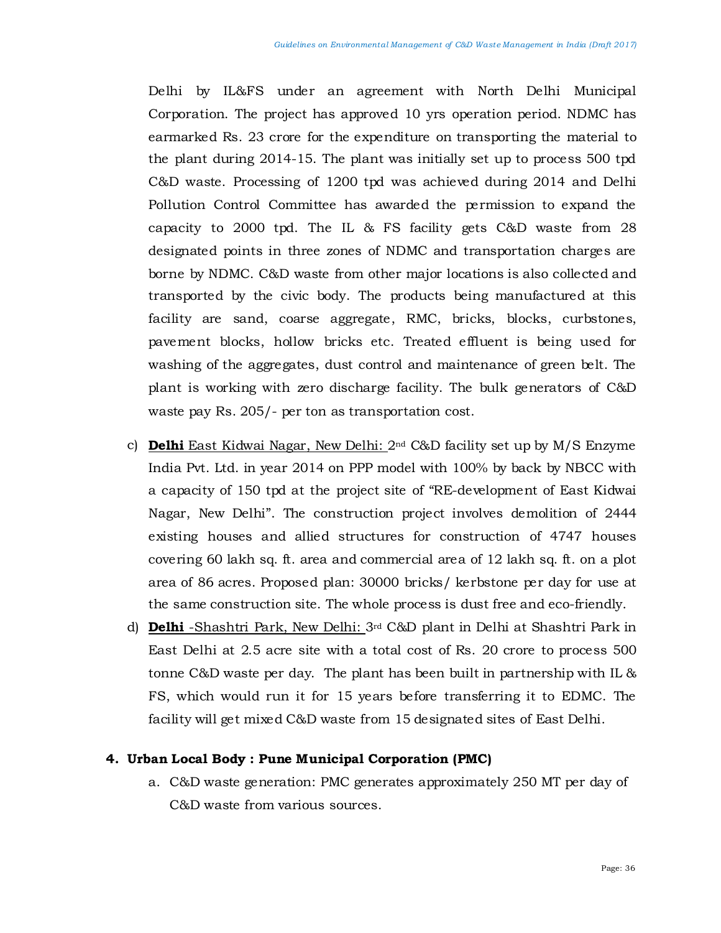Delhi by IL&FS under an agreement with North Delhi Municipal Corporation. The project has approved 10 yrs operation period. NDMC has earmarked Rs. 23 crore for the expenditure on transporting the material to the plant during 2014-15. The plant was initially set up to process 500 tpd C&D waste. Processing of 1200 tpd was achieved during 2014 and Delhi Pollution Control Committee has awarded the permission to expand the capacity to 2000 tpd. The IL & FS facility gets C&D waste from 28 designated points in three zones of NDMC and transportation charges are borne by NDMC. C&D waste from other major locations is also collected and transported by the civic body. The products being manufactured at this facility are sand, coarse aggregate, RMC, bricks, blocks, curbstones, pavement blocks, hollow bricks etc. Treated effluent is being used for washing of the aggregates, dust control and maintenance of green belt. The plant is working with zero discharge facility. The bulk generators of C&D waste pay Rs. 205/- per ton as transportation cost.

- c) **Delhi** East Kidwai Nagar, New Delhi: 2nd C&D facility set up by M/S Enzyme India Pvt. Ltd. in year 2014 on PPP model with 100% by back by NBCC with a capacity of 150 tpd at the project site of "RE-development of East Kidwai Nagar, New Delhi". The construction project involves demolition of 2444 existing houses and allied structures for construction of 4747 houses covering 60 lakh sq. ft. area and commercial area of 12 lakh sq. ft. on a plot area of 86 acres. Proposed plan: 30000 bricks/ kerbstone per day for use at the same construction site. The whole process is dust free and eco-friendly.
- d) **Delhi** -Shashtri Park, New Delhi: 3rd C&D plant in Delhi at Shashtri Park in East Delhi at 2.5 acre site with a total cost of Rs. 20 crore to process 500 tonne C&D waste per day. The plant has been built in partnership with IL & FS, which would run it for 15 years before transferring it to EDMC. The facility will get mixed C&D waste from 15 designated sites of East Delhi.

#### **4. Urban Local Body : Pune Municipal Corporation (PMC)**

a. C&D waste generation: PMC generates approximately 250 MT per day of C&D waste from various sources.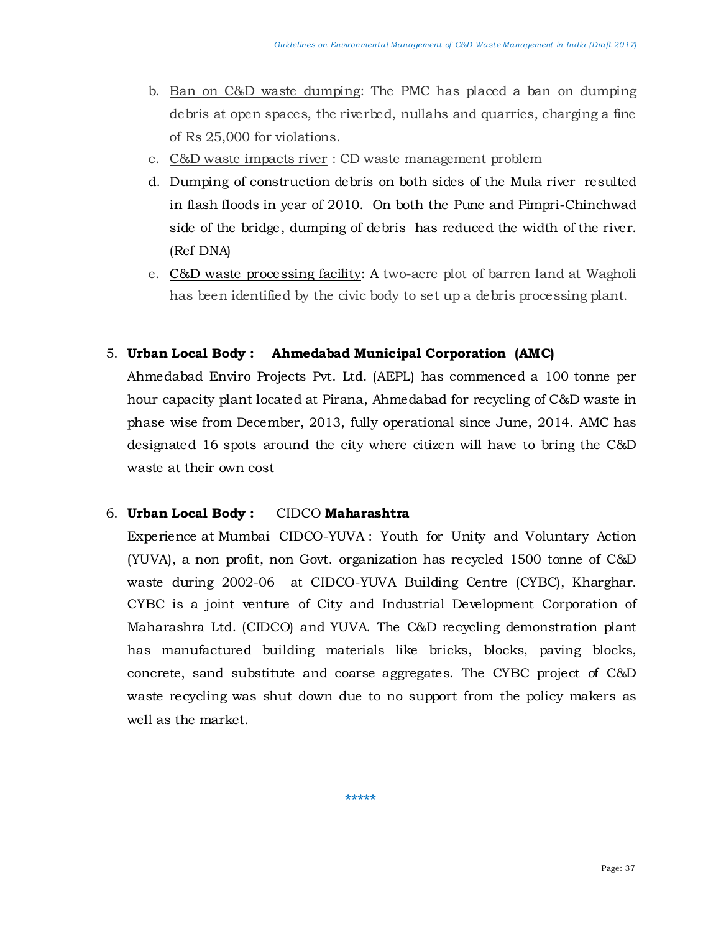- b. Ban on C&D waste dumping: The PMC has placed a ban on dumping debris at open spaces, the riverbed, nullahs and quarries, charging a fine of Rs 25,000 for violations.
- c. C&D waste impacts river : CD waste management problem
- d. Dumping of construction debris on both sides of the Mula river resulted in flash floods in year of 2010. On both the Pune and Pimpri-Chinchwad side of the bridge, dumping of debris has reduced the width of the river. (Ref DNA)
- e. C&D waste processing facility: A two-acre plot of barren land at Wagholi has been identified by the civic body to set up a debris processing plant.

# 5. **Urban Local Body : Ahmedabad Municipal Corporation (AMC)**

Ahmedabad Enviro Projects Pvt. Ltd. (AEPL) has commenced a 100 tonne per hour capacity plant located at Pirana, Ahmedabad for recycling of C&D waste in phase wise from December, 2013, fully operational since June, 2014. AMC has designated 16 spots around the city where citizen will have to bring the C&D waste at their own cost

# 6. **Urban Local Body :** CIDCO **Maharashtra**

Experience at Mumbai CIDCO-YUVA : Youth for Unity and Voluntary Action (YUVA), a non profit, non Govt. organization has recycled 1500 tonne of C&D waste during 2002-06 at CIDCO-YUVA Building Centre (CYBC), Kharghar. CYBC is a joint venture of City and Industrial Development Corporation of Maharashra Ltd. (CIDCO) and YUVA. The C&D recycling demonstration plant has manufactured building materials like bricks, blocks, paving blocks, concrete, sand substitute and coarse aggregates. The CYBC project of C&D waste recycling was shut down due to no support from the policy makers as well as the market.

**\*\*\*\*\***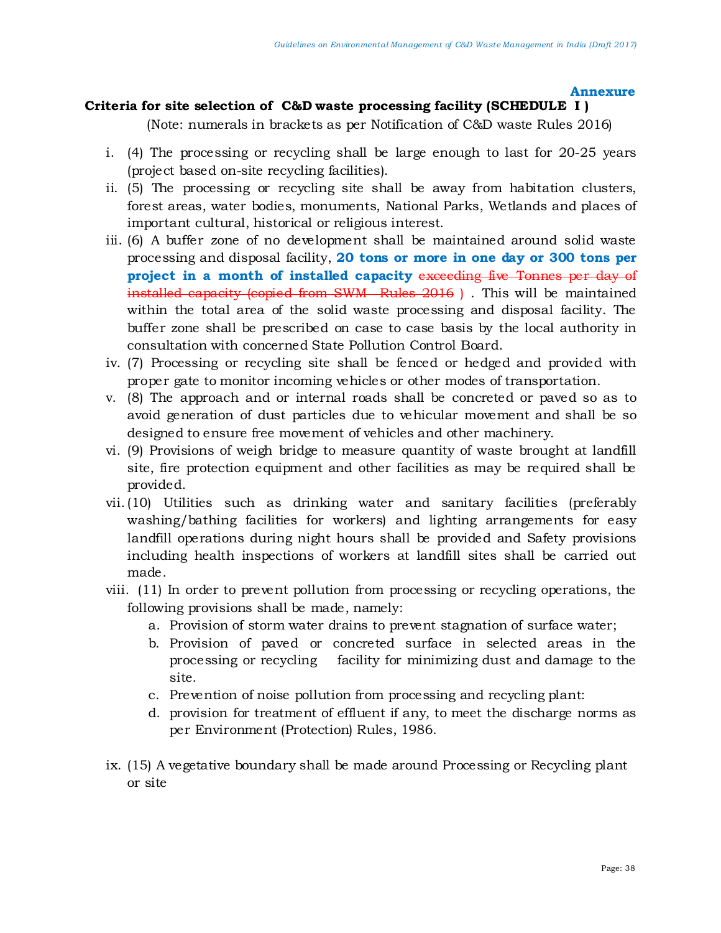#### **Annexure**

# **Criteria for site selection of C&D waste processing facility (SCHEDULE I )**

(Note: numerals in brackets as per Notification of C&D waste Rules 2016)

- i. (4) The processing or recycling shall be large enough to last for 20-25 years (project based on-site recycling facilities).
- ii. (5) The processing or recycling site shall be away from habitation clusters, forest areas, water bodies, monuments, National Parks, Wetlands and places of important cultural, historical or religious interest.
- iii. (6) A buffer zone of no development shall be maintained around solid waste processing and disposal facility, **20 tons or more in one day or 300 tons per project in a month of installed capacity** exceeding five Tonnes per day of installed capacity (copied from SWM Rules 2016 ) . This will be maintained within the total area of the solid waste processing and disposal facility. The buffer zone shall be prescribed on case to case basis by the local authority in consultation with concerned State Pollution Control Board.
- iv. (7) Processing or recycling site shall be fenced or hedged and provided with proper gate to monitor incoming vehicles or other modes of transportation.
- v. (8) The approach and or internal roads shall be concreted or paved so as to avoid generation of dust particles due to vehicular movement and shall be so designed to ensure free movement of vehicles and other machinery.
- vi. (9) Provisions of weigh bridge to measure quantity of waste brought at landfill site, fire protection equipment and other facilities as may be required shall be provided.
- vii.(10) Utilities such as drinking water and sanitary facilities (preferably washing/bathing facilities for workers) and lighting arrangements for easy landfill operations during night hours shall be provided and Safety provisions including health inspections of workers at landfill sites shall be carried out made.
- viii. (11) In order to prevent pollution from processing or recycling operations, the following provisions shall be made, namely:
	- a. Provision of storm water drains to prevent stagnation of surface water;
	- b. Provision of paved or concreted surface in selected areas in the processing or recycling facility for minimizing dust and damage to the site.
	- c. Prevention of noise pollution from processing and recycling plant:
	- d. provision for treatment of effluent if any, to meet the discharge norms as per Environment (Protection) Rules, 1986.
- ix. (15) A vegetative boundary shall be made around Processing or Recycling plant or site